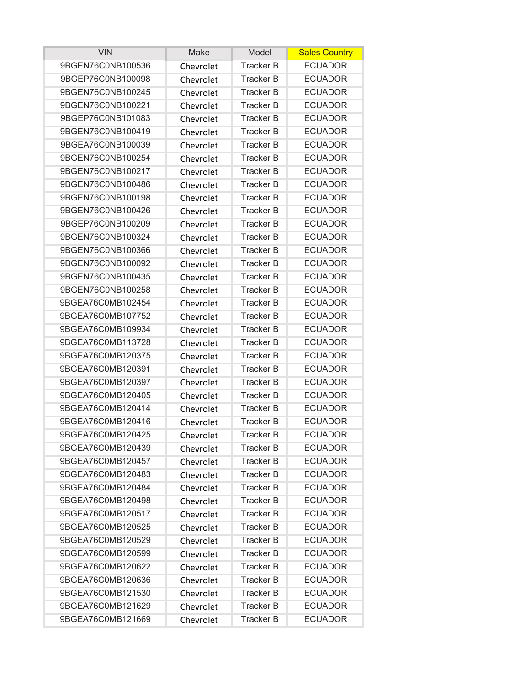| <b>VIN</b>        | Make      | Model            | <b>Sales Country</b> |
|-------------------|-----------|------------------|----------------------|
| 9BGEN76C0NB100536 | Chevrolet | <b>Tracker B</b> | <b>ECUADOR</b>       |
| 9BGEP76C0NB100098 | Chevrolet | <b>Tracker B</b> | <b>ECUADOR</b>       |
| 9BGEN76C0NB100245 | Chevrolet | <b>Tracker B</b> | <b>ECUADOR</b>       |
| 9BGEN76C0NB100221 | Chevrolet | <b>Tracker B</b> | <b>ECUADOR</b>       |
| 9BGEP76C0NB101083 | Chevrolet | <b>Tracker B</b> | <b>ECUADOR</b>       |
| 9BGEN76C0NB100419 | Chevrolet | <b>Tracker B</b> | <b>ECUADOR</b>       |
| 9BGEA76C0NB100039 | Chevrolet | <b>Tracker B</b> | <b>ECUADOR</b>       |
| 9BGEN76C0NB100254 | Chevrolet | <b>Tracker B</b> | <b>ECUADOR</b>       |
| 9BGEN76C0NB100217 | Chevrolet | <b>Tracker B</b> | <b>ECUADOR</b>       |
| 9BGEN76C0NB100486 | Chevrolet | <b>Tracker B</b> | <b>ECUADOR</b>       |
| 9BGEN76C0NB100198 | Chevrolet | <b>Tracker B</b> | <b>ECUADOR</b>       |
| 9BGEN76C0NB100426 | Chevrolet | <b>Tracker B</b> | <b>ECUADOR</b>       |
| 9BGEP76C0NB100209 | Chevrolet | <b>Tracker B</b> | <b>ECUADOR</b>       |
| 9BGEN76C0NB100324 | Chevrolet | <b>Tracker B</b> | <b>ECUADOR</b>       |
| 9BGEN76C0NB100366 | Chevrolet | <b>Tracker B</b> | <b>ECUADOR</b>       |
| 9BGEN76C0NB100092 | Chevrolet | <b>Tracker B</b> | <b>ECUADOR</b>       |
| 9BGEN76C0NB100435 | Chevrolet | <b>Tracker B</b> | <b>ECUADOR</b>       |
| 9BGEN76C0NB100258 | Chevrolet | <b>Tracker B</b> | <b>ECUADOR</b>       |
| 9BGEA76C0MB102454 | Chevrolet | <b>Tracker B</b> | <b>ECUADOR</b>       |
| 9BGEA76C0MB107752 | Chevrolet | <b>Tracker B</b> | <b>ECUADOR</b>       |
| 9BGEA76C0MB109934 | Chevrolet | <b>Tracker B</b> | <b>ECUADOR</b>       |
| 9BGEA76C0MB113728 | Chevrolet | <b>Tracker B</b> | <b>ECUADOR</b>       |
| 9BGEA76C0MB120375 | Chevrolet | <b>Tracker B</b> | <b>ECUADOR</b>       |
| 9BGEA76C0MB120391 | Chevrolet | <b>Tracker B</b> | <b>ECUADOR</b>       |
| 9BGEA76C0MB120397 | Chevrolet | <b>Tracker B</b> | <b>ECUADOR</b>       |
| 9BGEA76C0MB120405 | Chevrolet | <b>Tracker B</b> | <b>ECUADOR</b>       |
| 9BGEA76C0MB120414 | Chevrolet | <b>Tracker B</b> | <b>ECUADOR</b>       |
| 9BGEA76C0MB120416 | Chevrolet | <b>Tracker B</b> | <b>ECUADOR</b>       |
| 9BGEA76C0MB120425 | Chevrolet | <b>Tracker B</b> | <b>ECUADOR</b>       |
| 9BGEA76C0MB120439 | Chevrolet | <b>Tracker B</b> | <b>ECUADOR</b>       |
| 9BGEA76C0MB120457 | Chevrolet | <b>Tracker B</b> | <b>ECUADOR</b>       |
| 9BGEA76C0MB120483 | Chevrolet | Tracker B        | <b>ECUADOR</b>       |
| 9BGEA76C0MB120484 | Chevrolet | <b>Tracker B</b> | <b>ECUADOR</b>       |
| 9BGEA76C0MB120498 | Chevrolet | <b>Tracker B</b> | <b>ECUADOR</b>       |
| 9BGEA76C0MB120517 | Chevrolet | Tracker B        | <b>ECUADOR</b>       |
| 9BGEA76C0MB120525 | Chevrolet | <b>Tracker B</b> | <b>ECUADOR</b>       |
| 9BGEA76C0MB120529 | Chevrolet | Tracker B        | <b>ECUADOR</b>       |
| 9BGEA76C0MB120599 | Chevrolet | <b>Tracker B</b> | <b>ECUADOR</b>       |
| 9BGEA76C0MB120622 | Chevrolet | <b>Tracker B</b> | <b>ECUADOR</b>       |
| 9BGEA76C0MB120636 | Chevrolet | <b>Tracker B</b> | <b>ECUADOR</b>       |
| 9BGEA76C0MB121530 | Chevrolet | <b>Tracker B</b> | <b>ECUADOR</b>       |
| 9BGEA76C0MB121629 | Chevrolet | <b>Tracker B</b> | <b>ECUADOR</b>       |
| 9BGEA76C0MB121669 | Chevrolet | Tracker B        | <b>ECUADOR</b>       |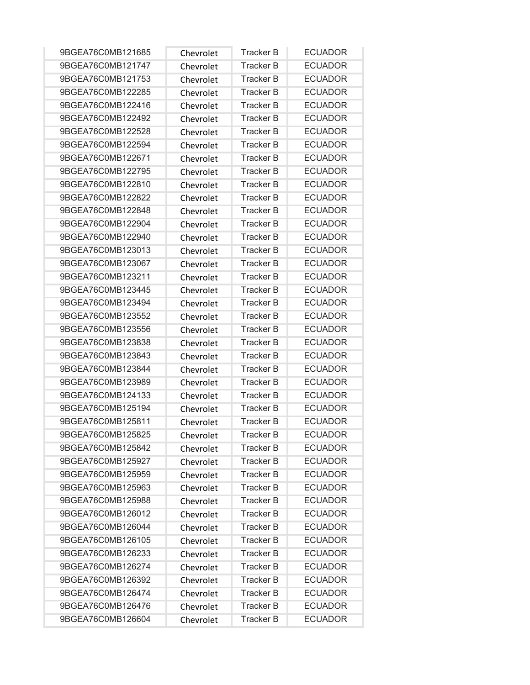| 9BGEA76C0MB121685 | Chevrolet | <b>Tracker B</b> | <b>ECUADOR</b> |
|-------------------|-----------|------------------|----------------|
| 9BGEA76C0MB121747 | Chevrolet | <b>Tracker B</b> | <b>ECUADOR</b> |
| 9BGEA76C0MB121753 | Chevrolet | <b>Tracker B</b> | <b>ECUADOR</b> |
| 9BGEA76C0MB122285 | Chevrolet | <b>Tracker B</b> | <b>ECUADOR</b> |
| 9BGEA76C0MB122416 | Chevrolet | <b>Tracker B</b> | <b>ECUADOR</b> |
| 9BGEA76C0MB122492 | Chevrolet | <b>Tracker B</b> | <b>ECUADOR</b> |
| 9BGEA76C0MB122528 | Chevrolet | <b>Tracker B</b> | <b>ECUADOR</b> |
| 9BGEA76C0MB122594 | Chevrolet | <b>Tracker B</b> | <b>ECUADOR</b> |
| 9BGEA76C0MB122671 | Chevrolet | <b>Tracker B</b> | <b>ECUADOR</b> |
| 9BGEA76C0MB122795 | Chevrolet | <b>Tracker B</b> | <b>ECUADOR</b> |
| 9BGEA76C0MB122810 | Chevrolet | <b>Tracker B</b> | <b>ECUADOR</b> |
| 9BGEA76C0MB122822 | Chevrolet | <b>Tracker B</b> | <b>ECUADOR</b> |
| 9BGEA76C0MB122848 | Chevrolet | <b>Tracker B</b> | <b>ECUADOR</b> |
| 9BGEA76C0MB122904 | Chevrolet | <b>Tracker B</b> | <b>ECUADOR</b> |
| 9BGEA76C0MB122940 | Chevrolet | <b>Tracker B</b> | <b>ECUADOR</b> |
| 9BGEA76C0MB123013 | Chevrolet | <b>Tracker B</b> | <b>ECUADOR</b> |
| 9BGEA76C0MB123067 | Chevrolet | <b>Tracker B</b> | <b>ECUADOR</b> |
| 9BGEA76C0MB123211 | Chevrolet | <b>Tracker B</b> | <b>ECUADOR</b> |
| 9BGEA76C0MB123445 | Chevrolet | <b>Tracker B</b> | <b>ECUADOR</b> |
| 9BGEA76C0MB123494 | Chevrolet | <b>Tracker B</b> | <b>ECUADOR</b> |
| 9BGEA76C0MB123552 | Chevrolet | <b>Tracker B</b> | <b>ECUADOR</b> |
| 9BGEA76C0MB123556 | Chevrolet | <b>Tracker B</b> | <b>ECUADOR</b> |
| 9BGEA76C0MB123838 | Chevrolet | <b>Tracker B</b> | <b>ECUADOR</b> |
| 9BGEA76C0MB123843 | Chevrolet | <b>Tracker B</b> | <b>ECUADOR</b> |
| 9BGEA76C0MB123844 | Chevrolet | <b>Tracker B</b> | <b>ECUADOR</b> |
| 9BGEA76C0MB123989 | Chevrolet | <b>Tracker B</b> | <b>ECUADOR</b> |
| 9BGEA76C0MB124133 | Chevrolet | <b>Tracker B</b> | <b>ECUADOR</b> |
| 9BGEA76C0MB125194 | Chevrolet | <b>Tracker B</b> | <b>ECUADOR</b> |
| 9BGEA76C0MB125811 | Chevrolet | <b>Tracker B</b> | <b>ECUADOR</b> |
| 9BGEA76C0MB125825 | Chevrolet | <b>Tracker B</b> | <b>ECUADOR</b> |
| 9BGEA76C0MB125842 | Chevrolet | Tracker B        | <b>ECUADOR</b> |
| 9BGEA76C0MB125927 | Chevrolet | <b>Tracker B</b> | <b>ECUADOR</b> |
| 9BGEA76C0MB125959 | Chevrolet | <b>Tracker B</b> | <b>ECUADOR</b> |
| 9BGEA76C0MB125963 | Chevrolet | <b>Tracker B</b> | <b>ECUADOR</b> |
| 9BGEA76C0MB125988 | Chevrolet | <b>Tracker B</b> | <b>ECUADOR</b> |
| 9BGEA76C0MB126012 | Chevrolet | <b>Tracker B</b> | <b>ECUADOR</b> |
| 9BGEA76C0MB126044 | Chevrolet | <b>Tracker B</b> | <b>ECUADOR</b> |
| 9BGEA76C0MB126105 | Chevrolet | <b>Tracker B</b> | <b>ECUADOR</b> |
| 9BGEA76C0MB126233 | Chevrolet | <b>Tracker B</b> | <b>ECUADOR</b> |
| 9BGEA76C0MB126274 | Chevrolet | Tracker B        | <b>ECUADOR</b> |
| 9BGEA76C0MB126392 | Chevrolet | <b>Tracker B</b> | <b>ECUADOR</b> |
| 9BGEA76C0MB126474 | Chevrolet | <b>Tracker B</b> | <b>ECUADOR</b> |
| 9BGEA76C0MB126476 | Chevrolet | <b>Tracker B</b> | <b>ECUADOR</b> |
| 9BGEA76C0MB126604 | Chevrolet | <b>Tracker B</b> | <b>ECUADOR</b> |
|                   |           |                  |                |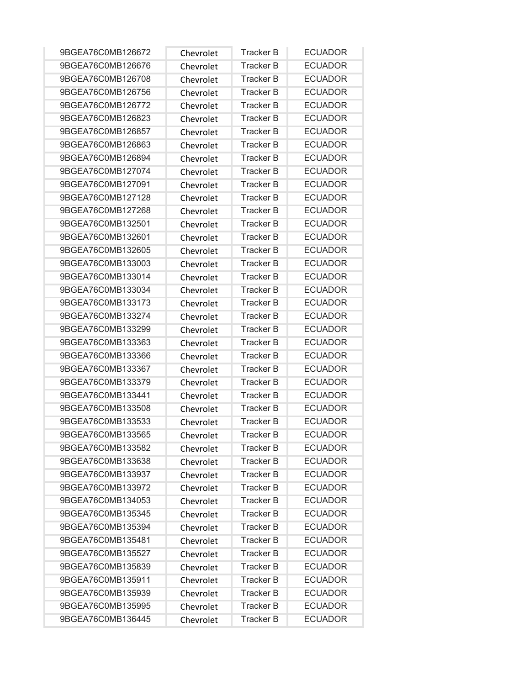| 9BGEA76C0MB126672 | Chevrolet | <b>Tracker B</b> | <b>ECUADOR</b> |
|-------------------|-----------|------------------|----------------|
| 9BGEA76C0MB126676 | Chevrolet | <b>Tracker B</b> | <b>ECUADOR</b> |
| 9BGEA76C0MB126708 | Chevrolet | <b>Tracker B</b> | <b>ECUADOR</b> |
| 9BGEA76C0MB126756 | Chevrolet | <b>Tracker B</b> | <b>ECUADOR</b> |
| 9BGEA76C0MB126772 | Chevrolet | <b>Tracker B</b> | <b>ECUADOR</b> |
| 9BGEA76C0MB126823 | Chevrolet | <b>Tracker B</b> | <b>ECUADOR</b> |
| 9BGEA76C0MB126857 | Chevrolet | <b>Tracker B</b> | <b>ECUADOR</b> |
| 9BGEA76C0MB126863 | Chevrolet | <b>Tracker B</b> | <b>ECUADOR</b> |
| 9BGEA76C0MB126894 | Chevrolet | <b>Tracker B</b> | <b>ECUADOR</b> |
| 9BGEA76C0MB127074 | Chevrolet | <b>Tracker B</b> | <b>ECUADOR</b> |
| 9BGEA76C0MB127091 | Chevrolet | <b>Tracker B</b> | <b>ECUADOR</b> |
| 9BGEA76C0MB127128 | Chevrolet | <b>Tracker B</b> | <b>ECUADOR</b> |
| 9BGEA76C0MB127268 | Chevrolet | <b>Tracker B</b> | <b>ECUADOR</b> |
| 9BGEA76C0MB132501 | Chevrolet | <b>Tracker B</b> | <b>ECUADOR</b> |
| 9BGEA76C0MB132601 | Chevrolet | <b>Tracker B</b> | <b>ECUADOR</b> |
| 9BGEA76C0MB132605 | Chevrolet | <b>Tracker B</b> | <b>ECUADOR</b> |
| 9BGEA76C0MB133003 | Chevrolet | <b>Tracker B</b> | <b>ECUADOR</b> |
| 9BGEA76C0MB133014 | Chevrolet | <b>Tracker B</b> | <b>ECUADOR</b> |
| 9BGEA76C0MB133034 | Chevrolet | <b>Tracker B</b> | <b>ECUADOR</b> |
| 9BGEA76C0MB133173 | Chevrolet | <b>Tracker B</b> | <b>ECUADOR</b> |
| 9BGEA76C0MB133274 | Chevrolet | <b>Tracker B</b> | <b>ECUADOR</b> |
| 9BGEA76C0MB133299 | Chevrolet | <b>Tracker B</b> | <b>ECUADOR</b> |
| 9BGEA76C0MB133363 | Chevrolet | <b>Tracker B</b> | <b>ECUADOR</b> |
| 9BGEA76C0MB133366 | Chevrolet | <b>Tracker B</b> | <b>ECUADOR</b> |
| 9BGEA76C0MB133367 | Chevrolet | <b>Tracker B</b> | <b>ECUADOR</b> |
| 9BGEA76C0MB133379 | Chevrolet | <b>Tracker B</b> | <b>ECUADOR</b> |
| 9BGEA76C0MB133441 | Chevrolet | <b>Tracker B</b> | <b>ECUADOR</b> |
| 9BGEA76C0MB133508 | Chevrolet | <b>Tracker B</b> | <b>ECUADOR</b> |
| 9BGEA76C0MB133533 | Chevrolet | <b>Tracker B</b> | <b>ECUADOR</b> |
| 9BGEA76C0MB133565 | Chevrolet | <b>Tracker B</b> | <b>ECUADOR</b> |
| 9BGEA76C0MB133582 | Chevrolet | Tracker B        | <b>ECUADOR</b> |
| 9BGEA76C0MB133638 | Chevrolet | <b>Tracker B</b> | <b>ECUADOR</b> |
| 9BGEA76C0MB133937 | Chevrolet | <b>Tracker B</b> | <b>ECUADOR</b> |
| 9BGEA76C0MB133972 | Chevrolet | <b>Tracker B</b> | <b>ECUADOR</b> |
| 9BGEA76C0MB134053 | Chevrolet | <b>Tracker B</b> | <b>ECUADOR</b> |
| 9BGEA76C0MB135345 | Chevrolet | <b>Tracker B</b> | <b>ECUADOR</b> |
| 9BGEA76C0MB135394 | Chevrolet | Tracker B        | <b>ECUADOR</b> |
| 9BGEA76C0MB135481 | Chevrolet | <b>Tracker B</b> | <b>ECUADOR</b> |
| 9BGEA76C0MB135527 | Chevrolet | <b>Tracker B</b> | <b>ECUADOR</b> |
| 9BGEA76C0MB135839 | Chevrolet | Tracker B        | <b>ECUADOR</b> |
| 9BGEA76C0MB135911 | Chevrolet | <b>Tracker B</b> | <b>ECUADOR</b> |
| 9BGEA76C0MB135939 | Chevrolet | <b>Tracker B</b> | <b>ECUADOR</b> |
| 9BGEA76C0MB135995 | Chevrolet | <b>Tracker B</b> | <b>ECUADOR</b> |
| 9BGEA76C0MB136445 | Chevrolet | <b>Tracker B</b> | <b>ECUADOR</b> |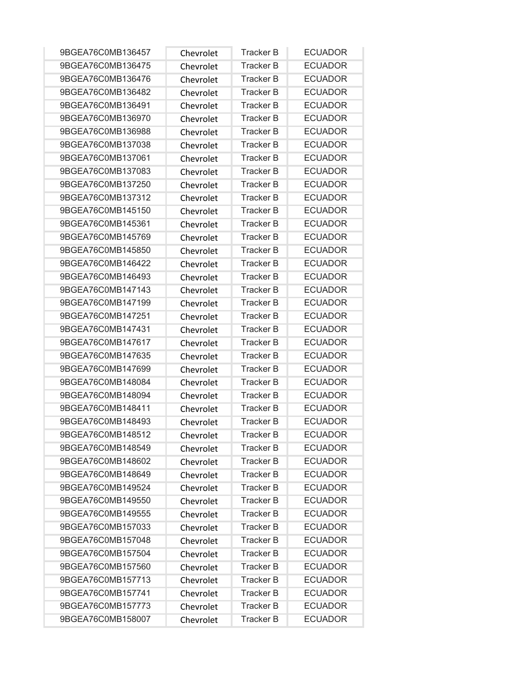| 9BGEA76C0MB136457 | Chevrolet | <b>Tracker B</b> | <b>ECUADOR</b> |
|-------------------|-----------|------------------|----------------|
| 9BGEA76C0MB136475 | Chevrolet | <b>Tracker B</b> | <b>ECUADOR</b> |
| 9BGEA76C0MB136476 | Chevrolet | <b>Tracker B</b> | <b>ECUADOR</b> |
| 9BGEA76C0MB136482 | Chevrolet | <b>Tracker B</b> | <b>ECUADOR</b> |
| 9BGEA76C0MB136491 | Chevrolet | <b>Tracker B</b> | <b>ECUADOR</b> |
| 9BGEA76C0MB136970 | Chevrolet | <b>Tracker B</b> | <b>ECUADOR</b> |
| 9BGEA76C0MB136988 | Chevrolet | <b>Tracker B</b> | <b>ECUADOR</b> |
| 9BGEA76C0MB137038 | Chevrolet | <b>Tracker B</b> | <b>ECUADOR</b> |
| 9BGEA76C0MB137061 | Chevrolet | <b>Tracker B</b> | <b>ECUADOR</b> |
| 9BGEA76C0MB137083 | Chevrolet | <b>Tracker B</b> | <b>ECUADOR</b> |
| 9BGEA76C0MB137250 | Chevrolet | <b>Tracker B</b> | <b>ECUADOR</b> |
| 9BGEA76C0MB137312 | Chevrolet | <b>Tracker B</b> | <b>ECUADOR</b> |
| 9BGEA76C0MB145150 | Chevrolet | <b>Tracker B</b> | <b>ECUADOR</b> |
| 9BGEA76C0MB145361 | Chevrolet | <b>Tracker B</b> | <b>ECUADOR</b> |
| 9BGEA76C0MB145769 | Chevrolet | <b>Tracker B</b> | <b>ECUADOR</b> |
| 9BGEA76C0MB145850 | Chevrolet | <b>Tracker B</b> | <b>ECUADOR</b> |
| 9BGEA76C0MB146422 | Chevrolet | <b>Tracker B</b> | <b>ECUADOR</b> |
| 9BGEA76C0MB146493 | Chevrolet | <b>Tracker B</b> | <b>ECUADOR</b> |
| 9BGEA76C0MB147143 | Chevrolet | <b>Tracker B</b> | <b>ECUADOR</b> |
| 9BGEA76C0MB147199 | Chevrolet | <b>Tracker B</b> | <b>ECUADOR</b> |
| 9BGEA76C0MB147251 | Chevrolet | <b>Tracker B</b> | <b>ECUADOR</b> |
| 9BGEA76C0MB147431 | Chevrolet | <b>Tracker B</b> | <b>ECUADOR</b> |
| 9BGEA76C0MB147617 | Chevrolet | <b>Tracker B</b> | <b>ECUADOR</b> |
| 9BGEA76C0MB147635 | Chevrolet | <b>Tracker B</b> | <b>ECUADOR</b> |
| 9BGEA76C0MB147699 | Chevrolet | <b>Tracker B</b> | <b>ECUADOR</b> |
| 9BGEA76C0MB148084 | Chevrolet | <b>Tracker B</b> | <b>ECUADOR</b> |
| 9BGEA76C0MB148094 | Chevrolet | <b>Tracker B</b> | <b>ECUADOR</b> |
| 9BGEA76C0MB148411 | Chevrolet | <b>Tracker B</b> | <b>ECUADOR</b> |
| 9BGEA76C0MB148493 | Chevrolet | <b>Tracker B</b> | <b>ECUADOR</b> |
| 9BGEA76C0MB148512 | Chevrolet | <b>Tracker B</b> | <b>ECUADOR</b> |
| 9BGEA76C0MB148549 | Chevrolet | Tracker B        | <b>ECUADOR</b> |
| 9BGEA76C0MB148602 | Chevrolet | <b>Tracker B</b> | <b>ECUADOR</b> |
| 9BGEA76C0MB148649 | Chevrolet | <b>Tracker B</b> | <b>ECUADOR</b> |
| 9BGEA76C0MB149524 | Chevrolet | <b>Tracker B</b> | <b>ECUADOR</b> |
| 9BGEA76C0MB149550 | Chevrolet | <b>Tracker B</b> | <b>ECUADOR</b> |
| 9BGEA76C0MB149555 | Chevrolet | <b>Tracker B</b> | <b>ECUADOR</b> |
| 9BGEA76C0MB157033 | Chevrolet | <b>Tracker B</b> | <b>ECUADOR</b> |
| 9BGEA76C0MB157048 | Chevrolet | <b>Tracker B</b> | <b>ECUADOR</b> |
| 9BGEA76C0MB157504 | Chevrolet | <b>Tracker B</b> | <b>ECUADOR</b> |
| 9BGEA76C0MB157560 | Chevrolet | <b>Tracker B</b> | <b>ECUADOR</b> |
| 9BGEA76C0MB157713 | Chevrolet | <b>Tracker B</b> | <b>ECUADOR</b> |
| 9BGEA76C0MB157741 | Chevrolet | <b>Tracker B</b> | <b>ECUADOR</b> |
| 9BGEA76C0MB157773 | Chevrolet | Tracker B        | <b>ECUADOR</b> |
| 9BGEA76C0MB158007 | Chevrolet | <b>Tracker B</b> | <b>ECUADOR</b> |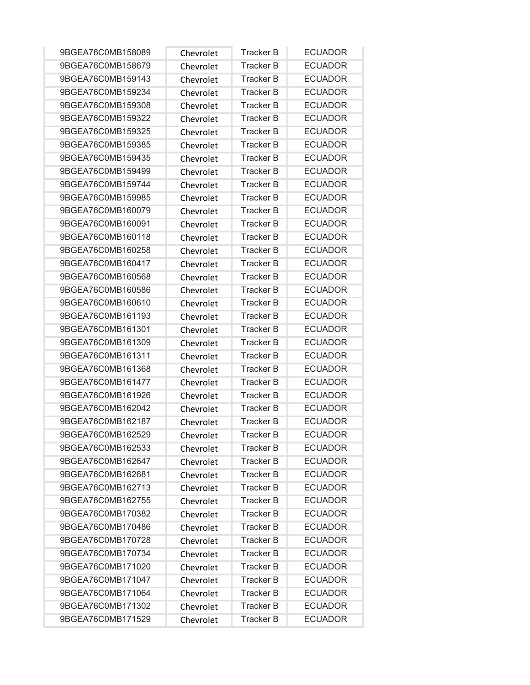| 9BGEA76C0MB158089 | Chevrolet | <b>Tracker B</b> | <b>ECUADOR</b> |
|-------------------|-----------|------------------|----------------|
| 9BGEA76C0MB158679 | Chevrolet | <b>Tracker B</b> | <b>ECUADOR</b> |
| 9BGEA76C0MB159143 | Chevrolet | <b>Tracker B</b> | <b>ECUADOR</b> |
| 9BGEA76C0MB159234 | Chevrolet | <b>Tracker B</b> | <b>ECUADOR</b> |
| 9BGEA76C0MB159308 | Chevrolet | <b>Tracker B</b> | <b>ECUADOR</b> |
| 9BGEA76C0MB159322 | Chevrolet | <b>Tracker B</b> | <b>ECUADOR</b> |
| 9BGEA76C0MB159325 | Chevrolet | <b>Tracker B</b> | <b>ECUADOR</b> |
| 9BGEA76C0MB159385 | Chevrolet | <b>Tracker B</b> | <b>ECUADOR</b> |
| 9BGEA76C0MB159435 | Chevrolet | <b>Tracker B</b> | <b>ECUADOR</b> |
| 9BGEA76C0MB159499 | Chevrolet | <b>Tracker B</b> | <b>ECUADOR</b> |
| 9BGEA76C0MB159744 | Chevrolet | <b>Tracker B</b> | <b>ECUADOR</b> |
| 9BGEA76C0MB159985 | Chevrolet | <b>Tracker B</b> | <b>ECUADOR</b> |
| 9BGEA76C0MB160079 | Chevrolet | <b>Tracker B</b> | <b>ECUADOR</b> |
| 9BGEA76C0MB160091 | Chevrolet | <b>Tracker B</b> | <b>ECUADOR</b> |
| 9BGEA76C0MB160118 | Chevrolet | <b>Tracker B</b> | <b>ECUADOR</b> |
| 9BGEA76C0MB160258 | Chevrolet | <b>Tracker B</b> | <b>ECUADOR</b> |
| 9BGEA76C0MB160417 | Chevrolet | <b>Tracker B</b> | <b>ECUADOR</b> |
| 9BGEA76C0MB160568 | Chevrolet | <b>Tracker B</b> | <b>ECUADOR</b> |
| 9BGEA76C0MB160586 | Chevrolet | <b>Tracker B</b> | <b>ECUADOR</b> |
| 9BGEA76C0MB160610 | Chevrolet | <b>Tracker B</b> | <b>ECUADOR</b> |
| 9BGEA76C0MB161193 | Chevrolet | <b>Tracker B</b> | <b>ECUADOR</b> |
| 9BGEA76C0MB161301 | Chevrolet | <b>Tracker B</b> | <b>ECUADOR</b> |
| 9BGEA76C0MB161309 | Chevrolet | <b>Tracker B</b> | <b>ECUADOR</b> |
| 9BGEA76C0MB161311 | Chevrolet | <b>Tracker B</b> | <b>ECUADOR</b> |
| 9BGEA76C0MB161368 | Chevrolet | <b>Tracker B</b> | <b>ECUADOR</b> |
| 9BGEA76C0MB161477 | Chevrolet | <b>Tracker B</b> | <b>ECUADOR</b> |
| 9BGEA76C0MB161926 | Chevrolet | <b>Tracker B</b> | <b>ECUADOR</b> |
| 9BGEA76C0MB162042 | Chevrolet | <b>Tracker B</b> | <b>ECUADOR</b> |
| 9BGEA76C0MB162187 | Chevrolet | <b>Tracker B</b> | <b>ECUADOR</b> |
| 9BGEA76C0MB162529 | Chevrolet | <b>Tracker B</b> | <b>ECUADOR</b> |
| 9BGEA76C0MB162533 | Chevrolet | Tracker B        | <b>ECUADOR</b> |
| 9BGEA76C0MB162647 | Chevrolet | <b>Tracker B</b> | <b>ECUADOR</b> |
| 9BGEA76C0MB162681 | Chevrolet | <b>Tracker B</b> | <b>ECUADOR</b> |
| 9BGEA76C0MB162713 | Chevrolet | <b>Tracker B</b> | <b>ECUADOR</b> |
| 9BGEA76C0MB162755 | Chevrolet | <b>Tracker B</b> | <b>ECUADOR</b> |
| 9BGEA76C0MB170382 | Chevrolet | <b>Tracker B</b> | <b>ECUADOR</b> |
| 9BGEA76C0MB170486 | Chevrolet | Tracker B        | <b>ECUADOR</b> |
| 9BGEA76C0MB170728 | Chevrolet | <b>Tracker B</b> | <b>ECUADOR</b> |
| 9BGEA76C0MB170734 | Chevrolet | <b>Tracker B</b> | <b>ECUADOR</b> |
| 9BGEA76C0MB171020 | Chevrolet | Tracker B        | <b>ECUADOR</b> |
| 9BGEA76C0MB171047 | Chevrolet | <b>Tracker B</b> | <b>ECUADOR</b> |
| 9BGEA76C0MB171064 | Chevrolet | <b>Tracker B</b> | <b>ECUADOR</b> |
| 9BGEA76C0MB171302 | Chevrolet | <b>Tracker B</b> | <b>ECUADOR</b> |
| 9BGEA76C0MB171529 | Chevrolet | <b>Tracker B</b> | <b>ECUADOR</b> |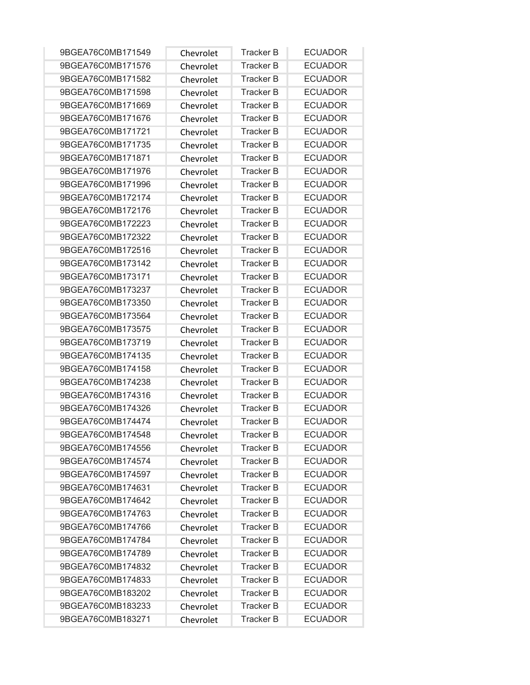| 9BGEA76C0MB171549 | Chevrolet | <b>Tracker B</b> | <b>ECUADOR</b> |
|-------------------|-----------|------------------|----------------|
| 9BGEA76C0MB171576 | Chevrolet | <b>Tracker B</b> | <b>ECUADOR</b> |
| 9BGEA76C0MB171582 | Chevrolet | <b>Tracker B</b> | <b>ECUADOR</b> |
| 9BGEA76C0MB171598 | Chevrolet | <b>Tracker B</b> | <b>ECUADOR</b> |
| 9BGEA76C0MB171669 | Chevrolet | <b>Tracker B</b> | <b>ECUADOR</b> |
| 9BGEA76C0MB171676 | Chevrolet | <b>Tracker B</b> | <b>ECUADOR</b> |
| 9BGEA76C0MB171721 | Chevrolet | <b>Tracker B</b> | <b>ECUADOR</b> |
| 9BGEA76C0MB171735 | Chevrolet | <b>Tracker B</b> | <b>ECUADOR</b> |
| 9BGEA76C0MB171871 | Chevrolet | <b>Tracker B</b> | <b>ECUADOR</b> |
| 9BGEA76C0MB171976 | Chevrolet | <b>Tracker B</b> | <b>ECUADOR</b> |
| 9BGEA76C0MB171996 | Chevrolet | <b>Tracker B</b> | <b>ECUADOR</b> |
| 9BGEA76C0MB172174 | Chevrolet | <b>Tracker B</b> | <b>ECUADOR</b> |
| 9BGEA76C0MB172176 | Chevrolet | <b>Tracker B</b> | <b>ECUADOR</b> |
| 9BGEA76C0MB172223 | Chevrolet | <b>Tracker B</b> | <b>ECUADOR</b> |
| 9BGEA76C0MB172322 | Chevrolet | <b>Tracker B</b> | <b>ECUADOR</b> |
| 9BGEA76C0MB172516 | Chevrolet | <b>Tracker B</b> | <b>ECUADOR</b> |
| 9BGEA76C0MB173142 | Chevrolet | <b>Tracker B</b> | <b>ECUADOR</b> |
| 9BGEA76C0MB173171 | Chevrolet | <b>Tracker B</b> | <b>ECUADOR</b> |
| 9BGEA76C0MB173237 | Chevrolet | <b>Tracker B</b> | <b>ECUADOR</b> |
| 9BGEA76C0MB173350 | Chevrolet | <b>Tracker B</b> | <b>ECUADOR</b> |
| 9BGEA76C0MB173564 | Chevrolet | <b>Tracker B</b> | <b>ECUADOR</b> |
| 9BGEA76C0MB173575 | Chevrolet | <b>Tracker B</b> | <b>ECUADOR</b> |
| 9BGEA76C0MB173719 | Chevrolet | <b>Tracker B</b> | <b>ECUADOR</b> |
| 9BGEA76C0MB174135 | Chevrolet | <b>Tracker B</b> | <b>ECUADOR</b> |
| 9BGEA76C0MB174158 | Chevrolet | <b>Tracker B</b> | <b>ECUADOR</b> |
| 9BGEA76C0MB174238 | Chevrolet | <b>Tracker B</b> | <b>ECUADOR</b> |
| 9BGEA76C0MB174316 | Chevrolet | <b>Tracker B</b> | <b>ECUADOR</b> |
| 9BGEA76C0MB174326 | Chevrolet | <b>Tracker B</b> | <b>ECUADOR</b> |
| 9BGEA76C0MB174474 | Chevrolet | <b>Tracker B</b> | <b>ECUADOR</b> |
| 9BGEA76C0MB174548 | Chevrolet | <b>Tracker B</b> | <b>ECUADOR</b> |
| 9BGEA76C0MB174556 | Chevrolet | Tracker B        | <b>ECUADOR</b> |
| 9BGEA76C0MB174574 | Chevrolet | <b>Tracker B</b> | <b>ECUADOR</b> |
| 9BGEA76C0MB174597 | Chevrolet | <b>Tracker B</b> | <b>ECUADOR</b> |
| 9BGEA76C0MB174631 | Chevrolet | <b>Tracker B</b> | <b>ECUADOR</b> |
| 9BGEA76C0MB174642 | Chevrolet | <b>Tracker B</b> | <b>ECUADOR</b> |
| 9BGEA76C0MB174763 | Chevrolet | <b>Tracker B</b> | <b>ECUADOR</b> |
| 9BGEA76C0MB174766 | Chevrolet | Tracker B        | <b>ECUADOR</b> |
| 9BGEA76C0MB174784 | Chevrolet | <b>Tracker B</b> | <b>ECUADOR</b> |
| 9BGEA76C0MB174789 | Chevrolet | <b>Tracker B</b> | <b>ECUADOR</b> |
| 9BGEA76C0MB174832 | Chevrolet | Tracker B        | <b>ECUADOR</b> |
| 9BGEA76C0MB174833 | Chevrolet | <b>Tracker B</b> | <b>ECUADOR</b> |
| 9BGEA76C0MB183202 | Chevrolet | <b>Tracker B</b> | <b>ECUADOR</b> |
| 9BGEA76C0MB183233 | Chevrolet | <b>Tracker B</b> | <b>ECUADOR</b> |
| 9BGEA76C0MB183271 | Chevrolet | <b>Tracker B</b> | <b>ECUADOR</b> |
|                   |           |                  |                |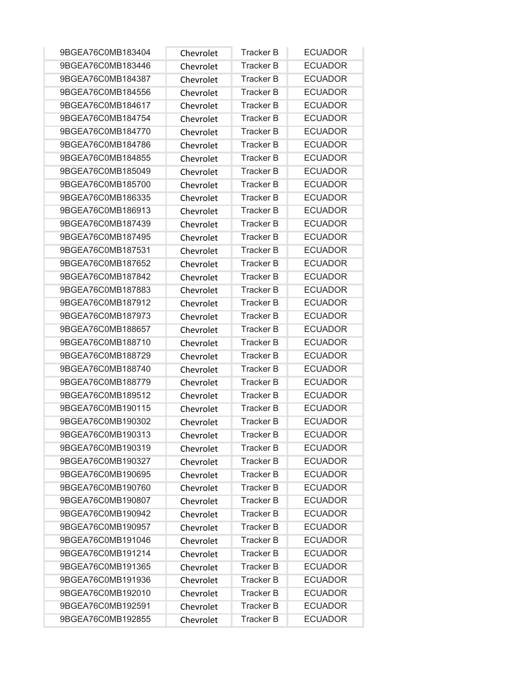| 9BGEA76C0MB183404 | Chevrolet | <b>Tracker B</b> | <b>ECUADOR</b> |
|-------------------|-----------|------------------|----------------|
| 9BGEA76C0MB183446 | Chevrolet | <b>Tracker B</b> | <b>ECUADOR</b> |
| 9BGEA76C0MB184387 | Chevrolet | <b>Tracker B</b> | <b>ECUADOR</b> |
| 9BGEA76C0MB184556 | Chevrolet | <b>Tracker B</b> | <b>ECUADOR</b> |
| 9BGEA76C0MB184617 | Chevrolet | <b>Tracker B</b> | <b>ECUADOR</b> |
| 9BGEA76C0MB184754 | Chevrolet | <b>Tracker B</b> | <b>ECUADOR</b> |
| 9BGEA76C0MB184770 | Chevrolet | <b>Tracker B</b> | <b>ECUADOR</b> |
| 9BGEA76C0MB184786 | Chevrolet | <b>Tracker B</b> | <b>ECUADOR</b> |
| 9BGEA76C0MB184855 | Chevrolet | <b>Tracker B</b> | <b>ECUADOR</b> |
| 9BGEA76C0MB185049 | Chevrolet | <b>Tracker B</b> | <b>ECUADOR</b> |
| 9BGEA76C0MB185700 | Chevrolet | <b>Tracker B</b> | <b>ECUADOR</b> |
| 9BGEA76C0MB186335 | Chevrolet | <b>Tracker B</b> | <b>ECUADOR</b> |
| 9BGEA76C0MB186913 | Chevrolet | <b>Tracker B</b> | <b>ECUADOR</b> |
| 9BGEA76C0MB187439 | Chevrolet | <b>Tracker B</b> | <b>ECUADOR</b> |
| 9BGEA76C0MB187495 | Chevrolet | <b>Tracker B</b> | <b>ECUADOR</b> |
| 9BGEA76C0MB187531 | Chevrolet | <b>Tracker B</b> | <b>ECUADOR</b> |
| 9BGEA76C0MB187652 | Chevrolet | <b>Tracker B</b> | <b>ECUADOR</b> |
| 9BGEA76C0MB187842 | Chevrolet | <b>Tracker B</b> | <b>ECUADOR</b> |
| 9BGEA76C0MB187883 | Chevrolet | <b>Tracker B</b> | <b>ECUADOR</b> |
| 9BGEA76C0MB187912 | Chevrolet | <b>Tracker B</b> | <b>ECUADOR</b> |
| 9BGEA76C0MB187973 | Chevrolet | <b>Tracker B</b> | <b>ECUADOR</b> |
| 9BGEA76C0MB188657 | Chevrolet | <b>Tracker B</b> | <b>ECUADOR</b> |
| 9BGEA76C0MB188710 | Chevrolet | <b>Tracker B</b> | <b>ECUADOR</b> |
| 9BGEA76C0MB188729 | Chevrolet | <b>Tracker B</b> | <b>ECUADOR</b> |
| 9BGEA76C0MB188740 | Chevrolet | <b>Tracker B</b> | <b>ECUADOR</b> |
| 9BGEA76C0MB188779 | Chevrolet | <b>Tracker B</b> | <b>ECUADOR</b> |
| 9BGEA76C0MB189512 | Chevrolet | <b>Tracker B</b> | <b>ECUADOR</b> |
| 9BGEA76C0MB190115 | Chevrolet | <b>Tracker B</b> | <b>ECUADOR</b> |
| 9BGEA76C0MB190302 | Chevrolet | <b>Tracker B</b> | <b>ECUADOR</b> |
| 9BGEA76C0MB190313 | Chevrolet | Tracker B        | <b>ECUADOR</b> |
| 9BGEA76C0MB190319 | Chevrolet | Tracker B        | <b>ECUADOR</b> |
| 9BGEA76C0MB190327 | Chevrolet | <b>Tracker B</b> | <b>ECUADOR</b> |
| 9BGEA76C0MB190695 | Chevrolet | <b>Tracker B</b> | <b>ECUADOR</b> |
| 9BGEA76C0MB190760 | Chevrolet | <b>Tracker B</b> | <b>ECUADOR</b> |
| 9BGEA76C0MB190807 | Chevrolet | <b>Tracker B</b> | <b>ECUADOR</b> |
| 9BGEA76C0MB190942 | Chevrolet | <b>Tracker B</b> | <b>ECUADOR</b> |
| 9BGEA76C0MB190957 | Chevrolet | <b>Tracker B</b> | <b>ECUADOR</b> |
| 9BGEA76C0MB191046 | Chevrolet | <b>Tracker B</b> | <b>ECUADOR</b> |
| 9BGEA76C0MB191214 | Chevrolet | <b>Tracker B</b> | <b>ECUADOR</b> |
| 9BGEA76C0MB191365 | Chevrolet | Tracker B        | <b>ECUADOR</b> |
| 9BGEA76C0MB191936 | Chevrolet | <b>Tracker B</b> | <b>ECUADOR</b> |
| 9BGEA76C0MB192010 | Chevrolet | <b>Tracker B</b> | <b>ECUADOR</b> |
| 9BGEA76C0MB192591 | Chevrolet | <b>Tracker B</b> | <b>ECUADOR</b> |
| 9BGEA76C0MB192855 | Chevrolet | <b>Tracker B</b> | <b>ECUADOR</b> |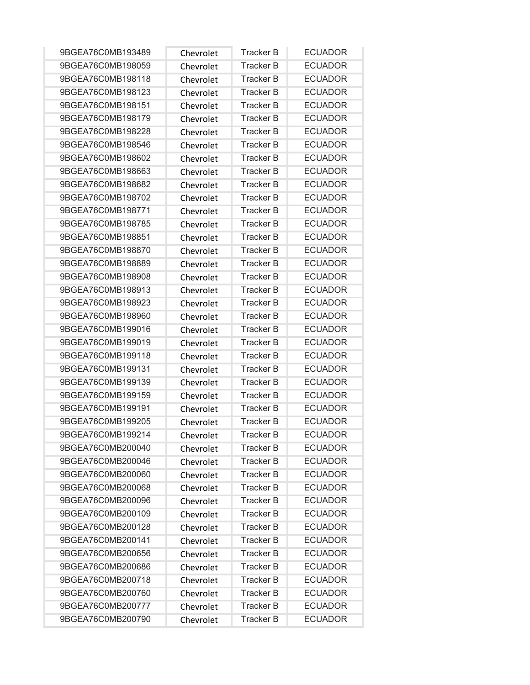| 9BGEA76C0MB193489 | Chevrolet | <b>Tracker B</b> | <b>ECUADOR</b> |
|-------------------|-----------|------------------|----------------|
| 9BGEA76C0MB198059 | Chevrolet | <b>Tracker B</b> | <b>ECUADOR</b> |
| 9BGEA76C0MB198118 | Chevrolet | <b>Tracker B</b> | <b>ECUADOR</b> |
| 9BGEA76C0MB198123 | Chevrolet | <b>Tracker B</b> | <b>ECUADOR</b> |
| 9BGEA76C0MB198151 | Chevrolet | <b>Tracker B</b> | <b>ECUADOR</b> |
| 9BGEA76C0MB198179 | Chevrolet | <b>Tracker B</b> | <b>ECUADOR</b> |
| 9BGEA76C0MB198228 | Chevrolet | <b>Tracker B</b> | <b>ECUADOR</b> |
| 9BGEA76C0MB198546 | Chevrolet | <b>Tracker B</b> | <b>ECUADOR</b> |
| 9BGEA76C0MB198602 | Chevrolet | <b>Tracker B</b> | <b>ECUADOR</b> |
| 9BGEA76C0MB198663 | Chevrolet | <b>Tracker B</b> | <b>ECUADOR</b> |
| 9BGEA76C0MB198682 | Chevrolet | <b>Tracker B</b> | <b>ECUADOR</b> |
| 9BGEA76C0MB198702 | Chevrolet | <b>Tracker B</b> | <b>ECUADOR</b> |
| 9BGEA76C0MB198771 | Chevrolet | <b>Tracker B</b> | <b>ECUADOR</b> |
| 9BGEA76C0MB198785 | Chevrolet | <b>Tracker B</b> | <b>ECUADOR</b> |
| 9BGEA76C0MB198851 | Chevrolet | <b>Tracker B</b> | <b>ECUADOR</b> |
| 9BGEA76C0MB198870 | Chevrolet | <b>Tracker B</b> | <b>ECUADOR</b> |
| 9BGEA76C0MB198889 | Chevrolet | <b>Tracker B</b> | <b>ECUADOR</b> |
| 9BGEA76C0MB198908 | Chevrolet | Tracker B        | <b>ECUADOR</b> |
| 9BGEA76C0MB198913 | Chevrolet | <b>Tracker B</b> | <b>ECUADOR</b> |
| 9BGEA76C0MB198923 | Chevrolet | <b>Tracker B</b> | <b>ECUADOR</b> |
| 9BGEA76C0MB198960 | Chevrolet | <b>Tracker B</b> | <b>ECUADOR</b> |
| 9BGEA76C0MB199016 | Chevrolet | <b>Tracker B</b> | <b>ECUADOR</b> |
| 9BGEA76C0MB199019 | Chevrolet | <b>Tracker B</b> | <b>ECUADOR</b> |
| 9BGEA76C0MB199118 | Chevrolet | <b>Tracker B</b> | <b>ECUADOR</b> |
| 9BGEA76C0MB199131 | Chevrolet | <b>Tracker B</b> | <b>ECUADOR</b> |
| 9BGEA76C0MB199139 | Chevrolet | <b>Tracker B</b> | <b>ECUADOR</b> |
| 9BGEA76C0MB199159 | Chevrolet | <b>Tracker B</b> | <b>ECUADOR</b> |
| 9BGEA76C0MB199191 | Chevrolet | <b>Tracker B</b> | <b>ECUADOR</b> |
| 9BGEA76C0MB199205 | Chevrolet | <b>Tracker B</b> | <b>ECUADOR</b> |
| 9BGEA76C0MB199214 | Chevrolet | <b>Tracker B</b> | <b>ECUADOR</b> |
| 9BGEA76C0MB200040 | Chevrolet | Tracker B        | <b>ECUADOR</b> |
| 9BGEA76C0MB200046 | Chevrolet | <b>Tracker B</b> | <b>ECUADOR</b> |
| 9BGEA76C0MB200060 | Chevrolet | <b>Tracker B</b> | <b>ECUADOR</b> |
| 9BGEA76C0MB200068 | Chevrolet | <b>Tracker B</b> | <b>ECUADOR</b> |
| 9BGEA76C0MB200096 | Chevrolet | <b>Tracker B</b> | <b>ECUADOR</b> |
| 9BGEA76C0MB200109 | Chevrolet | <b>Tracker B</b> | <b>ECUADOR</b> |
| 9BGEA76C0MB200128 | Chevrolet | <b>Tracker B</b> | <b>ECUADOR</b> |
| 9BGEA76C0MB200141 | Chevrolet | <b>Tracker B</b> | <b>ECUADOR</b> |
| 9BGEA76C0MB200656 | Chevrolet | <b>Tracker B</b> | <b>ECUADOR</b> |
| 9BGEA76C0MB200686 | Chevrolet | Tracker B        | <b>ECUADOR</b> |
| 9BGEA76C0MB200718 | Chevrolet | <b>Tracker B</b> | <b>ECUADOR</b> |
| 9BGEA76C0MB200760 | Chevrolet | <b>Tracker B</b> | <b>ECUADOR</b> |
| 9BGEA76C0MB200777 | Chevrolet | <b>Tracker B</b> | <b>ECUADOR</b> |
| 9BGEA76C0MB200790 | Chevrolet | <b>Tracker B</b> | <b>ECUADOR</b> |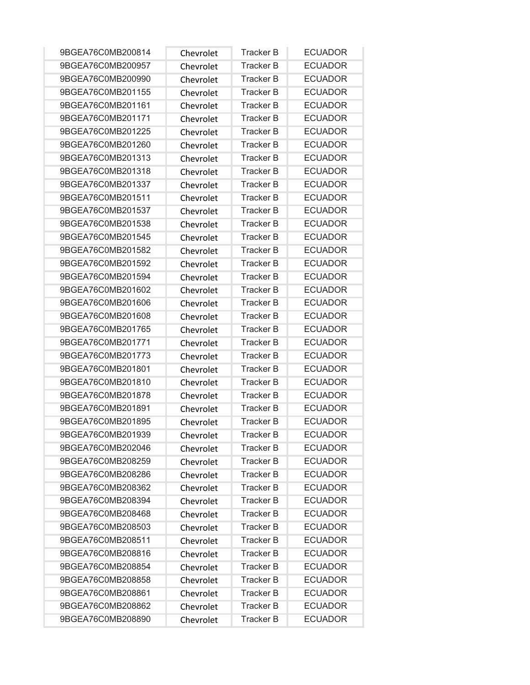| 9BGEA76C0MB200814 | Chevrolet | <b>Tracker B</b> | <b>ECUADOR</b> |
|-------------------|-----------|------------------|----------------|
| 9BGEA76C0MB200957 | Chevrolet | <b>Tracker B</b> | <b>ECUADOR</b> |
| 9BGEA76C0MB200990 | Chevrolet | <b>Tracker B</b> | <b>ECUADOR</b> |
| 9BGEA76C0MB201155 | Chevrolet | <b>Tracker B</b> | <b>ECUADOR</b> |
| 9BGEA76C0MB201161 | Chevrolet | <b>Tracker B</b> | <b>ECUADOR</b> |
| 9BGEA76C0MB201171 | Chevrolet | <b>Tracker B</b> | <b>ECUADOR</b> |
| 9BGEA76C0MB201225 | Chevrolet | <b>Tracker B</b> | <b>ECUADOR</b> |
| 9BGEA76C0MB201260 | Chevrolet | <b>Tracker B</b> | <b>ECUADOR</b> |
| 9BGEA76C0MB201313 | Chevrolet | <b>Tracker B</b> | <b>ECUADOR</b> |
| 9BGEA76C0MB201318 | Chevrolet | <b>Tracker B</b> | <b>ECUADOR</b> |
| 9BGEA76C0MB201337 | Chevrolet | <b>Tracker B</b> | <b>ECUADOR</b> |
| 9BGEA76C0MB201511 | Chevrolet | <b>Tracker B</b> | <b>ECUADOR</b> |
| 9BGEA76C0MB201537 | Chevrolet | <b>Tracker B</b> | <b>ECUADOR</b> |
| 9BGEA76C0MB201538 | Chevrolet | <b>Tracker B</b> | <b>ECUADOR</b> |
| 9BGEA76C0MB201545 | Chevrolet | <b>Tracker B</b> | <b>ECUADOR</b> |
| 9BGEA76C0MB201582 | Chevrolet | <b>Tracker B</b> | <b>ECUADOR</b> |
| 9BGEA76C0MB201592 | Chevrolet | <b>Tracker B</b> | <b>ECUADOR</b> |
| 9BGEA76C0MB201594 | Chevrolet | Tracker B        | <b>ECUADOR</b> |
| 9BGEA76C0MB201602 | Chevrolet | <b>Tracker B</b> | <b>ECUADOR</b> |
| 9BGEA76C0MB201606 | Chevrolet | <b>Tracker B</b> | <b>ECUADOR</b> |
| 9BGEA76C0MB201608 | Chevrolet | <b>Tracker B</b> | <b>ECUADOR</b> |
| 9BGEA76C0MB201765 | Chevrolet | <b>Tracker B</b> | <b>ECUADOR</b> |
| 9BGEA76C0MB201771 | Chevrolet | <b>Tracker B</b> | <b>ECUADOR</b> |
| 9BGEA76C0MB201773 | Chevrolet | <b>Tracker B</b> | <b>ECUADOR</b> |
| 9BGEA76C0MB201801 | Chevrolet | <b>Tracker B</b> | <b>ECUADOR</b> |
| 9BGEA76C0MB201810 | Chevrolet | <b>Tracker B</b> | <b>ECUADOR</b> |
| 9BGEA76C0MB201878 | Chevrolet | <b>Tracker B</b> | <b>ECUADOR</b> |
| 9BGEA76C0MB201891 | Chevrolet | <b>Tracker B</b> | <b>ECUADOR</b> |
| 9BGEA76C0MB201895 | Chevrolet | <b>Tracker B</b> | <b>ECUADOR</b> |
| 9BGEA76C0MB201939 | Chevrolet | <b>Tracker B</b> | <b>ECUADOR</b> |
| 9BGEA76C0MB202046 | Chevrolet | Tracker B        | <b>ECUADOR</b> |
| 9BGEA76C0MB208259 | Chevrolet | <b>Tracker B</b> | <b>ECUADOR</b> |
| 9BGEA76C0MB208286 | Chevrolet | <b>Tracker B</b> | <b>ECUADOR</b> |
| 9BGEA76C0MB208362 | Chevrolet | <b>Tracker B</b> | <b>ECUADOR</b> |
| 9BGEA76C0MB208394 | Chevrolet | <b>Tracker B</b> | <b>ECUADOR</b> |
| 9BGEA76C0MB208468 | Chevrolet | <b>Tracker B</b> | <b>ECUADOR</b> |
| 9BGEA76C0MB208503 | Chevrolet | <b>Tracker B</b> | <b>ECUADOR</b> |
| 9BGEA76C0MB208511 | Chevrolet | <b>Tracker B</b> | <b>ECUADOR</b> |
| 9BGEA76C0MB208816 | Chevrolet | <b>Tracker B</b> | <b>ECUADOR</b> |
| 9BGEA76C0MB208854 | Chevrolet | <b>Tracker B</b> | <b>ECUADOR</b> |
| 9BGEA76C0MB208858 | Chevrolet | <b>Tracker B</b> | <b>ECUADOR</b> |
| 9BGEA76C0MB208861 | Chevrolet | <b>Tracker B</b> | <b>ECUADOR</b> |
| 9BGEA76C0MB208862 | Chevrolet | <b>Tracker B</b> | <b>ECUADOR</b> |
| 9BGEA76C0MB208890 | Chevrolet | <b>Tracker B</b> | <b>ECUADOR</b> |
|                   |           |                  |                |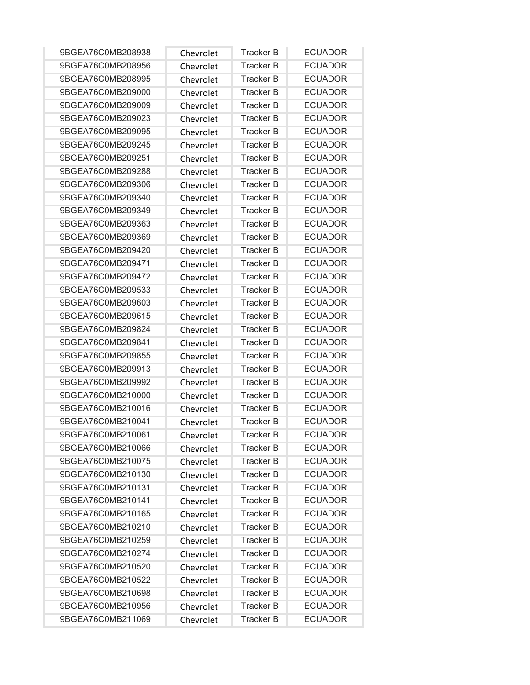| 9BGEA76C0MB208938 | Chevrolet | <b>Tracker B</b> | <b>ECUADOR</b> |
|-------------------|-----------|------------------|----------------|
| 9BGEA76C0MB208956 | Chevrolet | <b>Tracker B</b> | <b>ECUADOR</b> |
| 9BGEA76C0MB208995 | Chevrolet | <b>Tracker B</b> | <b>ECUADOR</b> |
| 9BGEA76C0MB209000 | Chevrolet | <b>Tracker B</b> | <b>ECUADOR</b> |
| 9BGEA76C0MB209009 | Chevrolet | <b>Tracker B</b> | <b>ECUADOR</b> |
| 9BGEA76C0MB209023 | Chevrolet | <b>Tracker B</b> | <b>ECUADOR</b> |
| 9BGEA76C0MB209095 | Chevrolet | <b>Tracker B</b> | <b>ECUADOR</b> |
| 9BGEA76C0MB209245 | Chevrolet | <b>Tracker B</b> | <b>ECUADOR</b> |
| 9BGEA76C0MB209251 | Chevrolet | <b>Tracker B</b> | <b>ECUADOR</b> |
| 9BGEA76C0MB209288 | Chevrolet | <b>Tracker B</b> | <b>ECUADOR</b> |
| 9BGEA76C0MB209306 | Chevrolet | <b>Tracker B</b> | <b>ECUADOR</b> |
| 9BGEA76C0MB209340 | Chevrolet | <b>Tracker B</b> | <b>ECUADOR</b> |
| 9BGEA76C0MB209349 | Chevrolet | <b>Tracker B</b> | <b>ECUADOR</b> |
| 9BGEA76C0MB209363 | Chevrolet | <b>Tracker B</b> | <b>ECUADOR</b> |
| 9BGEA76C0MB209369 | Chevrolet | <b>Tracker B</b> | <b>ECUADOR</b> |
| 9BGEA76C0MB209420 | Chevrolet | <b>Tracker B</b> | <b>ECUADOR</b> |
| 9BGEA76C0MB209471 | Chevrolet | <b>Tracker B</b> | <b>ECUADOR</b> |
| 9BGEA76C0MB209472 | Chevrolet | <b>Tracker B</b> | <b>ECUADOR</b> |
| 9BGEA76C0MB209533 | Chevrolet | <b>Tracker B</b> | <b>ECUADOR</b> |
| 9BGEA76C0MB209603 | Chevrolet | <b>Tracker B</b> | <b>ECUADOR</b> |
| 9BGEA76C0MB209615 | Chevrolet | <b>Tracker B</b> | <b>ECUADOR</b> |
| 9BGEA76C0MB209824 | Chevrolet | <b>Tracker B</b> | <b>ECUADOR</b> |
| 9BGEA76C0MB209841 | Chevrolet | <b>Tracker B</b> | <b>ECUADOR</b> |
| 9BGEA76C0MB209855 | Chevrolet | <b>Tracker B</b> | <b>ECUADOR</b> |
| 9BGEA76C0MB209913 | Chevrolet | <b>Tracker B</b> | <b>ECUADOR</b> |
| 9BGEA76C0MB209992 | Chevrolet | <b>Tracker B</b> | <b>ECUADOR</b> |
| 9BGEA76C0MB210000 | Chevrolet | <b>Tracker B</b> | <b>ECUADOR</b> |
| 9BGEA76C0MB210016 | Chevrolet | <b>Tracker B</b> | <b>ECUADOR</b> |
| 9BGEA76C0MB210041 | Chevrolet | <b>Tracker B</b> | <b>ECUADOR</b> |
| 9BGEA76C0MB210061 | Chevrolet | <b>Tracker B</b> | <b>ECUADOR</b> |
| 9BGEA76C0MB210066 | Chevrolet | Tracker B        | <b>ECUADOR</b> |
| 9BGEA76C0MB210075 | Chevrolet | <b>Tracker B</b> | <b>ECUADOR</b> |
| 9BGEA76C0MB210130 | Chevrolet | <b>Tracker B</b> | <b>ECUADOR</b> |
| 9BGEA76C0MB210131 | Chevrolet | <b>Tracker B</b> | <b>ECUADOR</b> |
| 9BGEA76C0MB210141 | Chevrolet | <b>Tracker B</b> | <b>ECUADOR</b> |
| 9BGEA76C0MB210165 | Chevrolet | <b>Tracker B</b> | <b>ECUADOR</b> |
| 9BGEA76C0MB210210 | Chevrolet | <b>Tracker B</b> | <b>ECUADOR</b> |
| 9BGEA76C0MB210259 | Chevrolet | <b>Tracker B</b> | <b>ECUADOR</b> |
| 9BGEA76C0MB210274 | Chevrolet | <b>Tracker B</b> | <b>ECUADOR</b> |
| 9BGEA76C0MB210520 | Chevrolet | Tracker B        | <b>ECUADOR</b> |
| 9BGEA76C0MB210522 | Chevrolet | <b>Tracker B</b> | <b>ECUADOR</b> |
| 9BGEA76C0MB210698 | Chevrolet | <b>Tracker B</b> | <b>ECUADOR</b> |
| 9BGEA76C0MB210956 | Chevrolet | <b>Tracker B</b> | <b>ECUADOR</b> |
| 9BGEA76C0MB211069 | Chevrolet | <b>Tracker B</b> | <b>ECUADOR</b> |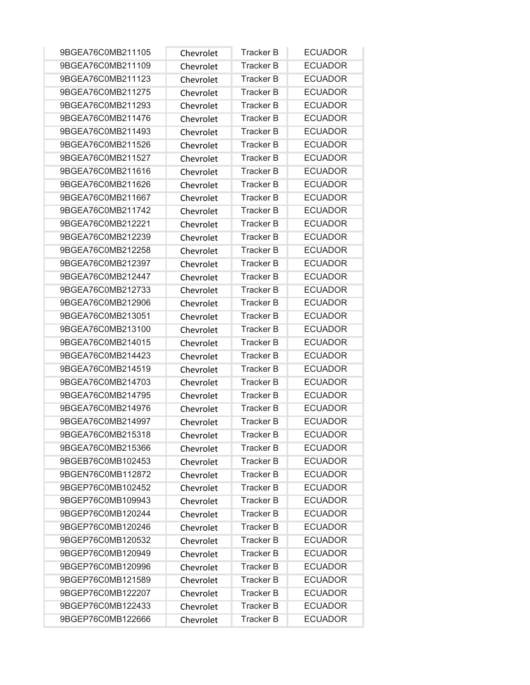| 9BGEA76C0MB211105 | Chevrolet | <b>Tracker B</b> | <b>ECUADOR</b> |
|-------------------|-----------|------------------|----------------|
| 9BGEA76C0MB211109 | Chevrolet | <b>Tracker B</b> | <b>ECUADOR</b> |
| 9BGEA76C0MB211123 | Chevrolet | <b>Tracker B</b> | <b>ECUADOR</b> |
| 9BGEA76C0MB211275 | Chevrolet | <b>Tracker B</b> | <b>ECUADOR</b> |
| 9BGEA76C0MB211293 | Chevrolet | <b>Tracker B</b> | <b>ECUADOR</b> |
| 9BGEA76C0MB211476 | Chevrolet | <b>Tracker B</b> | <b>ECUADOR</b> |
| 9BGEA76C0MB211493 | Chevrolet | <b>Tracker B</b> | <b>ECUADOR</b> |
| 9BGEA76C0MB211526 | Chevrolet | <b>Tracker B</b> | <b>ECUADOR</b> |
| 9BGEA76C0MB211527 | Chevrolet | <b>Tracker B</b> | <b>ECUADOR</b> |
| 9BGEA76C0MB211616 | Chevrolet | <b>Tracker B</b> | <b>ECUADOR</b> |
| 9BGEA76C0MB211626 | Chevrolet | <b>Tracker B</b> | <b>ECUADOR</b> |
| 9BGEA76C0MB211667 | Chevrolet | <b>Tracker B</b> | <b>ECUADOR</b> |
| 9BGEA76C0MB211742 | Chevrolet | <b>Tracker B</b> | <b>ECUADOR</b> |
| 9BGEA76C0MB212221 | Chevrolet | <b>Tracker B</b> | <b>ECUADOR</b> |
| 9BGEA76C0MB212239 | Chevrolet | <b>Tracker B</b> | <b>ECUADOR</b> |
| 9BGEA76C0MB212258 | Chevrolet | <b>Tracker B</b> | <b>ECUADOR</b> |
| 9BGEA76C0MB212397 | Chevrolet | <b>Tracker B</b> | <b>ECUADOR</b> |
| 9BGEA76C0MB212447 | Chevrolet | <b>Tracker B</b> | <b>ECUADOR</b> |
| 9BGEA76C0MB212733 | Chevrolet | <b>Tracker B</b> | <b>ECUADOR</b> |
| 9BGEA76C0MB212906 | Chevrolet | <b>Tracker B</b> | <b>ECUADOR</b> |
| 9BGEA76C0MB213051 | Chevrolet | <b>Tracker B</b> | <b>ECUADOR</b> |
| 9BGEA76C0MB213100 | Chevrolet | <b>Tracker B</b> | <b>ECUADOR</b> |
| 9BGEA76C0MB214015 | Chevrolet | <b>Tracker B</b> | <b>ECUADOR</b> |
| 9BGEA76C0MB214423 | Chevrolet | <b>Tracker B</b> | <b>ECUADOR</b> |
| 9BGEA76C0MB214519 | Chevrolet | <b>Tracker B</b> | <b>ECUADOR</b> |
| 9BGEA76C0MB214703 | Chevrolet | <b>Tracker B</b> | <b>ECUADOR</b> |
| 9BGEA76C0MB214795 | Chevrolet | <b>Tracker B</b> | <b>ECUADOR</b> |
| 9BGEA76C0MB214976 | Chevrolet | <b>Tracker B</b> | <b>ECUADOR</b> |
| 9BGEA76C0MB214997 | Chevrolet | <b>Tracker B</b> | <b>ECUADOR</b> |
| 9BGEA76C0MB215318 | Chevrolet | <b>Tracker B</b> | <b>ECUADOR</b> |
| 9BGEA76C0MB215366 | Chevrolet | Tracker B        | <b>ECUADOR</b> |
| 9BGEB76C0MB102453 | Chevrolet | <b>Tracker B</b> | <b>ECUADOR</b> |
| 9BGEN76C0MB112872 | Chevrolet | <b>Tracker B</b> | <b>ECUADOR</b> |
| 9BGEP76C0MB102452 | Chevrolet | <b>Tracker B</b> | <b>ECUADOR</b> |
| 9BGEP76C0MB109943 | Chevrolet | <b>Tracker B</b> | <b>ECUADOR</b> |
| 9BGEP76C0MB120244 | Chevrolet | <b>Tracker B</b> | <b>ECUADOR</b> |
| 9BGEP76C0MB120246 | Chevrolet | <b>Tracker B</b> | <b>ECUADOR</b> |
| 9BGEP76C0MB120532 | Chevrolet | <b>Tracker B</b> | <b>ECUADOR</b> |
| 9BGEP76C0MB120949 | Chevrolet | <b>Tracker B</b> | <b>ECUADOR</b> |
| 9BGEP76C0MB120996 | Chevrolet | <b>Tracker B</b> | <b>ECUADOR</b> |
| 9BGEP76C0MB121589 | Chevrolet | <b>Tracker B</b> | <b>ECUADOR</b> |
| 9BGEP76C0MB122207 | Chevrolet | <b>Tracker B</b> | <b>ECUADOR</b> |
| 9BGEP76C0MB122433 | Chevrolet | <b>Tracker B</b> | <b>ECUADOR</b> |
| 9BGEP76C0MB122666 | Chevrolet | <b>Tracker B</b> | <b>ECUADOR</b> |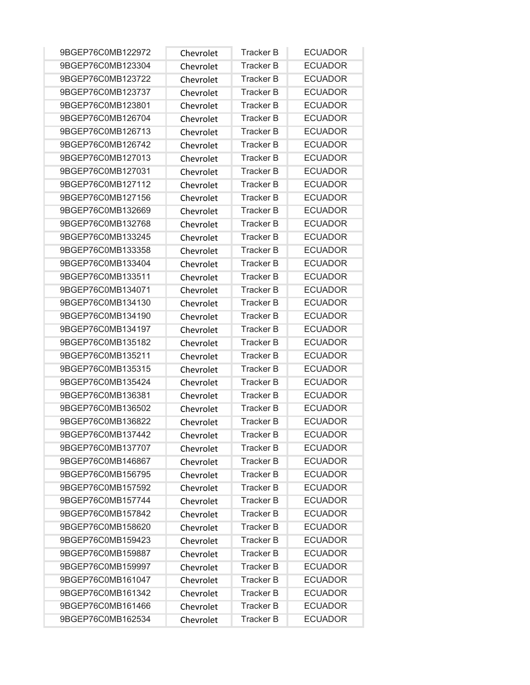| 9BGEP76C0MB122972 | Chevrolet | <b>Tracker B</b> | <b>ECUADOR</b> |
|-------------------|-----------|------------------|----------------|
| 9BGEP76C0MB123304 | Chevrolet | <b>Tracker B</b> | <b>ECUADOR</b> |
| 9BGEP76C0MB123722 | Chevrolet | <b>Tracker B</b> | <b>ECUADOR</b> |
| 9BGEP76C0MB123737 | Chevrolet | <b>Tracker B</b> | <b>ECUADOR</b> |
| 9BGEP76C0MB123801 | Chevrolet | <b>Tracker B</b> | <b>ECUADOR</b> |
| 9BGEP76C0MB126704 | Chevrolet | <b>Tracker B</b> | <b>ECUADOR</b> |
| 9BGEP76C0MB126713 | Chevrolet | <b>Tracker B</b> | <b>ECUADOR</b> |
| 9BGEP76C0MB126742 | Chevrolet | <b>Tracker B</b> | <b>ECUADOR</b> |
| 9BGEP76C0MB127013 | Chevrolet | <b>Tracker B</b> | <b>ECUADOR</b> |
| 9BGEP76C0MB127031 | Chevrolet | <b>Tracker B</b> | <b>ECUADOR</b> |
| 9BGEP76C0MB127112 | Chevrolet | <b>Tracker B</b> | <b>ECUADOR</b> |
| 9BGEP76C0MB127156 | Chevrolet | <b>Tracker B</b> | <b>ECUADOR</b> |
| 9BGEP76C0MB132669 | Chevrolet | <b>Tracker B</b> | <b>ECUADOR</b> |
| 9BGEP76C0MB132768 | Chevrolet | <b>Tracker B</b> | <b>ECUADOR</b> |
| 9BGEP76C0MB133245 | Chevrolet | <b>Tracker B</b> | <b>ECUADOR</b> |
| 9BGEP76C0MB133358 | Chevrolet | <b>Tracker B</b> | <b>ECUADOR</b> |
| 9BGEP76C0MB133404 | Chevrolet | <b>Tracker B</b> | <b>ECUADOR</b> |
| 9BGEP76C0MB133511 | Chevrolet | <b>Tracker B</b> | <b>ECUADOR</b> |
| 9BGEP76C0MB134071 | Chevrolet | <b>Tracker B</b> | <b>ECUADOR</b> |
| 9BGEP76C0MB134130 | Chevrolet | <b>Tracker B</b> | <b>ECUADOR</b> |
| 9BGEP76C0MB134190 | Chevrolet | <b>Tracker B</b> | <b>ECUADOR</b> |
| 9BGEP76C0MB134197 | Chevrolet | <b>Tracker B</b> | <b>ECUADOR</b> |
| 9BGEP76C0MB135182 | Chevrolet | <b>Tracker B</b> | <b>ECUADOR</b> |
| 9BGEP76C0MB135211 | Chevrolet | <b>Tracker B</b> | <b>ECUADOR</b> |
| 9BGEP76C0MB135315 | Chevrolet | <b>Tracker B</b> | <b>ECUADOR</b> |
| 9BGEP76C0MB135424 | Chevrolet | <b>Tracker B</b> | <b>ECUADOR</b> |
| 9BGEP76C0MB136381 | Chevrolet | <b>Tracker B</b> | <b>ECUADOR</b> |
| 9BGEP76C0MB136502 | Chevrolet | <b>Tracker B</b> | <b>ECUADOR</b> |
| 9BGEP76C0MB136822 | Chevrolet | <b>Tracker B</b> | <b>ECUADOR</b> |
| 9BGEP76C0MB137442 | Chevrolet | <b>Tracker B</b> | <b>ECUADOR</b> |
| 9BGEP76C0MB137707 | Chevrolet | <b>Tracker B</b> | <b>ECUADOR</b> |
| 9BGEP76C0MB146867 | Chevrolet | <b>Tracker B</b> | <b>ECUADOR</b> |
| 9BGEP76C0MB156795 | Chevrolet | <b>Tracker B</b> | <b>ECUADOR</b> |
| 9BGEP76C0MB157592 | Chevrolet | <b>Tracker B</b> | <b>ECUADOR</b> |
| 9BGEP76C0MB157744 | Chevrolet | <b>Tracker B</b> | <b>ECUADOR</b> |
| 9BGEP76C0MB157842 | Chevrolet | <b>Tracker B</b> | <b>ECUADOR</b> |
| 9BGEP76C0MB158620 | Chevrolet | <b>Tracker B</b> | <b>ECUADOR</b> |
| 9BGEP76C0MB159423 | Chevrolet | <b>Tracker B</b> | <b>ECUADOR</b> |
| 9BGEP76C0MB159887 | Chevrolet | <b>Tracker B</b> | <b>ECUADOR</b> |
| 9BGEP76C0MB159997 | Chevrolet | <b>Tracker B</b> | <b>ECUADOR</b> |
| 9BGEP76C0MB161047 | Chevrolet | <b>Tracker B</b> | <b>ECUADOR</b> |
| 9BGEP76C0MB161342 | Chevrolet | <b>Tracker B</b> | <b>ECUADOR</b> |
| 9BGEP76C0MB161466 | Chevrolet | <b>Tracker B</b> | <b>ECUADOR</b> |
| 9BGEP76C0MB162534 | Chevrolet | Tracker B        | <b>ECUADOR</b> |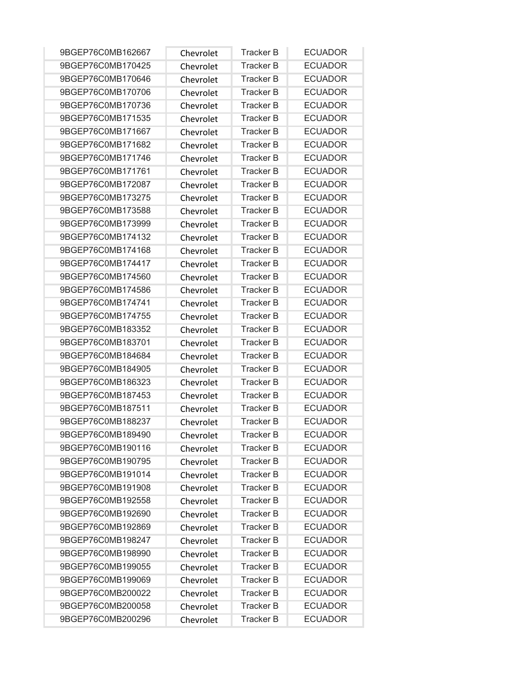| 9BGEP76C0MB162667 | Chevrolet | <b>Tracker B</b> | <b>ECUADOR</b> |
|-------------------|-----------|------------------|----------------|
| 9BGEP76C0MB170425 | Chevrolet | <b>Tracker B</b> | <b>ECUADOR</b> |
| 9BGEP76C0MB170646 | Chevrolet | <b>Tracker B</b> | <b>ECUADOR</b> |
| 9BGEP76C0MB170706 | Chevrolet | <b>Tracker B</b> | <b>ECUADOR</b> |
| 9BGEP76C0MB170736 | Chevrolet | <b>Tracker B</b> | <b>ECUADOR</b> |
| 9BGEP76C0MB171535 | Chevrolet | <b>Tracker B</b> | <b>ECUADOR</b> |
| 9BGEP76C0MB171667 | Chevrolet | <b>Tracker B</b> | <b>ECUADOR</b> |
| 9BGEP76C0MB171682 | Chevrolet | <b>Tracker B</b> | <b>ECUADOR</b> |
| 9BGEP76C0MB171746 | Chevrolet | <b>Tracker B</b> | <b>ECUADOR</b> |
| 9BGEP76C0MB171761 | Chevrolet | <b>Tracker B</b> | <b>ECUADOR</b> |
| 9BGEP76C0MB172087 | Chevrolet | <b>Tracker B</b> | <b>ECUADOR</b> |
| 9BGEP76C0MB173275 | Chevrolet | <b>Tracker B</b> | <b>ECUADOR</b> |
| 9BGEP76C0MB173588 | Chevrolet | <b>Tracker B</b> | <b>ECUADOR</b> |
| 9BGEP76C0MB173999 | Chevrolet | <b>Tracker B</b> | <b>ECUADOR</b> |
| 9BGEP76C0MB174132 | Chevrolet | <b>Tracker B</b> | <b>ECUADOR</b> |
| 9BGEP76C0MB174168 | Chevrolet | <b>Tracker B</b> | <b>ECUADOR</b> |
| 9BGEP76C0MB174417 | Chevrolet | <b>Tracker B</b> | <b>ECUADOR</b> |
| 9BGEP76C0MB174560 | Chevrolet | <b>Tracker B</b> | <b>ECUADOR</b> |
| 9BGEP76C0MB174586 | Chevrolet | <b>Tracker B</b> | <b>ECUADOR</b> |
| 9BGEP76C0MB174741 | Chevrolet | <b>Tracker B</b> | <b>ECUADOR</b> |
| 9BGEP76C0MB174755 | Chevrolet | <b>Tracker B</b> | <b>ECUADOR</b> |
| 9BGEP76C0MB183352 | Chevrolet | <b>Tracker B</b> | <b>ECUADOR</b> |
| 9BGEP76C0MB183701 | Chevrolet | <b>Tracker B</b> | <b>ECUADOR</b> |
| 9BGEP76C0MB184684 | Chevrolet | <b>Tracker B</b> | <b>ECUADOR</b> |
| 9BGEP76C0MB184905 | Chevrolet | <b>Tracker B</b> | <b>ECUADOR</b> |
| 9BGEP76C0MB186323 | Chevrolet | <b>Tracker B</b> | <b>ECUADOR</b> |
| 9BGEP76C0MB187453 | Chevrolet | <b>Tracker B</b> | <b>ECUADOR</b> |
| 9BGEP76C0MB187511 | Chevrolet | <b>Tracker B</b> | <b>ECUADOR</b> |
| 9BGEP76C0MB188237 | Chevrolet | <b>Tracker B</b> | <b>ECUADOR</b> |
| 9BGEP76C0MB189490 | Chevrolet | <b>Tracker B</b> | <b>ECUADOR</b> |
| 9BGEP76C0MB190116 | Chevrolet | Tracker B        | <b>ECUADOR</b> |
| 9BGEP76C0MB190795 | Chevrolet | <b>Tracker B</b> | <b>ECUADOR</b> |
| 9BGEP76C0MB191014 | Chevrolet | <b>Tracker B</b> | <b>ECUADOR</b> |
| 9BGEP76C0MB191908 | Chevrolet | <b>Tracker B</b> | <b>ECUADOR</b> |
| 9BGEP76C0MB192558 | Chevrolet | <b>Tracker B</b> | <b>ECUADOR</b> |
| 9BGEP76C0MB192690 | Chevrolet | <b>Tracker B</b> | <b>ECUADOR</b> |
| 9BGEP76C0MB192869 | Chevrolet | <b>Tracker B</b> | <b>ECUADOR</b> |
| 9BGEP76C0MB198247 | Chevrolet | <b>Tracker B</b> | <b>ECUADOR</b> |
| 9BGEP76C0MB198990 | Chevrolet | <b>Tracker B</b> | <b>ECUADOR</b> |
| 9BGEP76C0MB199055 | Chevrolet | <b>Tracker B</b> | <b>ECUADOR</b> |
| 9BGEP76C0MB199069 | Chevrolet | <b>Tracker B</b> | <b>ECUADOR</b> |
| 9BGEP76C0MB200022 | Chevrolet | <b>Tracker B</b> | <b>ECUADOR</b> |
| 9BGEP76C0MB200058 | Chevrolet | <b>Tracker B</b> | <b>ECUADOR</b> |
| 9BGEP76C0MB200296 | Chevrolet | <b>Tracker B</b> | <b>ECUADOR</b> |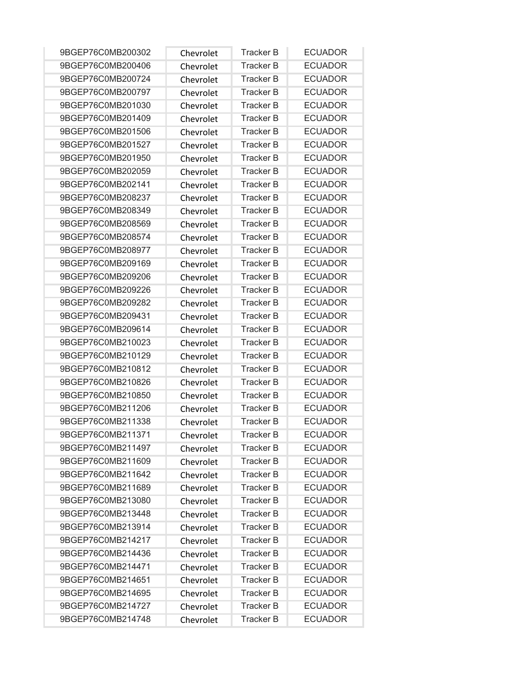| 9BGEP76C0MB200302 | Chevrolet | <b>Tracker B</b> | <b>ECUADOR</b> |
|-------------------|-----------|------------------|----------------|
| 9BGEP76C0MB200406 | Chevrolet | <b>Tracker B</b> | <b>ECUADOR</b> |
| 9BGEP76C0MB200724 | Chevrolet | <b>Tracker B</b> | <b>ECUADOR</b> |
| 9BGEP76C0MB200797 | Chevrolet | <b>Tracker B</b> | <b>ECUADOR</b> |
| 9BGEP76C0MB201030 | Chevrolet | <b>Tracker B</b> | <b>ECUADOR</b> |
| 9BGEP76C0MB201409 | Chevrolet | <b>Tracker B</b> | <b>ECUADOR</b> |
| 9BGEP76C0MB201506 | Chevrolet | <b>Tracker B</b> | <b>ECUADOR</b> |
| 9BGEP76C0MB201527 | Chevrolet | <b>Tracker B</b> | <b>ECUADOR</b> |
| 9BGEP76C0MB201950 | Chevrolet | <b>Tracker B</b> | <b>ECUADOR</b> |
| 9BGEP76C0MB202059 | Chevrolet | <b>Tracker B</b> | <b>ECUADOR</b> |
| 9BGEP76C0MB202141 | Chevrolet | <b>Tracker B</b> | <b>ECUADOR</b> |
| 9BGEP76C0MB208237 | Chevrolet | <b>Tracker B</b> | <b>ECUADOR</b> |
| 9BGEP76C0MB208349 | Chevrolet | <b>Tracker B</b> | <b>ECUADOR</b> |
| 9BGEP76C0MB208569 | Chevrolet | <b>Tracker B</b> | <b>ECUADOR</b> |
| 9BGEP76C0MB208574 | Chevrolet | <b>Tracker B</b> | <b>ECUADOR</b> |
| 9BGEP76C0MB208977 | Chevrolet | <b>Tracker B</b> | <b>ECUADOR</b> |
| 9BGEP76C0MB209169 | Chevrolet | <b>Tracker B</b> | <b>ECUADOR</b> |
| 9BGEP76C0MB209206 | Chevrolet | <b>Tracker B</b> | <b>ECUADOR</b> |
| 9BGEP76C0MB209226 | Chevrolet | <b>Tracker B</b> | <b>ECUADOR</b> |
| 9BGEP76C0MB209282 | Chevrolet | <b>Tracker B</b> | <b>ECUADOR</b> |
| 9BGEP76C0MB209431 | Chevrolet | <b>Tracker B</b> | <b>ECUADOR</b> |
| 9BGEP76C0MB209614 | Chevrolet | <b>Tracker B</b> | <b>ECUADOR</b> |
| 9BGEP76C0MB210023 | Chevrolet | <b>Tracker B</b> | <b>ECUADOR</b> |
| 9BGEP76C0MB210129 | Chevrolet | <b>Tracker B</b> | <b>ECUADOR</b> |
| 9BGEP76C0MB210812 | Chevrolet | <b>Tracker B</b> | <b>ECUADOR</b> |
| 9BGEP76C0MB210826 | Chevrolet | <b>Tracker B</b> | <b>ECUADOR</b> |
| 9BGEP76C0MB210850 | Chevrolet | <b>Tracker B</b> | <b>ECUADOR</b> |
| 9BGEP76C0MB211206 | Chevrolet | <b>Tracker B</b> | <b>ECUADOR</b> |
| 9BGEP76C0MB211338 | Chevrolet | <b>Tracker B</b> | <b>ECUADOR</b> |
| 9BGEP76C0MB211371 | Chevrolet | <b>Tracker B</b> | <b>ECUADOR</b> |
| 9BGEP76C0MB211497 | Chevrolet | <b>Tracker B</b> | <b>ECUADOR</b> |
| 9BGEP76C0MB211609 | Chevrolet | <b>Tracker B</b> | <b>ECUADOR</b> |
| 9BGEP76C0MB211642 | Chevrolet | <b>Tracker B</b> | <b>ECUADOR</b> |
| 9BGEP76C0MB211689 | Chevrolet | <b>Tracker B</b> | <b>ECUADOR</b> |
| 9BGEP76C0MB213080 | Chevrolet | <b>Tracker B</b> | <b>ECUADOR</b> |
| 9BGEP76C0MB213448 | Chevrolet | <b>Tracker B</b> | <b>ECUADOR</b> |
| 9BGEP76C0MB213914 | Chevrolet | <b>Tracker B</b> | <b>ECUADOR</b> |
| 9BGEP76C0MB214217 | Chevrolet | <b>Tracker B</b> | <b>ECUADOR</b> |
| 9BGEP76C0MB214436 | Chevrolet | <b>Tracker B</b> | <b>ECUADOR</b> |
| 9BGEP76C0MB214471 | Chevrolet | <b>Tracker B</b> | <b>ECUADOR</b> |
| 9BGEP76C0MB214651 | Chevrolet | <b>Tracker B</b> | <b>ECUADOR</b> |
| 9BGEP76C0MB214695 | Chevrolet | <b>Tracker B</b> | <b>ECUADOR</b> |
| 9BGEP76C0MB214727 | Chevrolet | <b>Tracker B</b> | <b>ECUADOR</b> |
| 9BGEP76C0MB214748 | Chevrolet | Tracker B        | <b>ECUADOR</b> |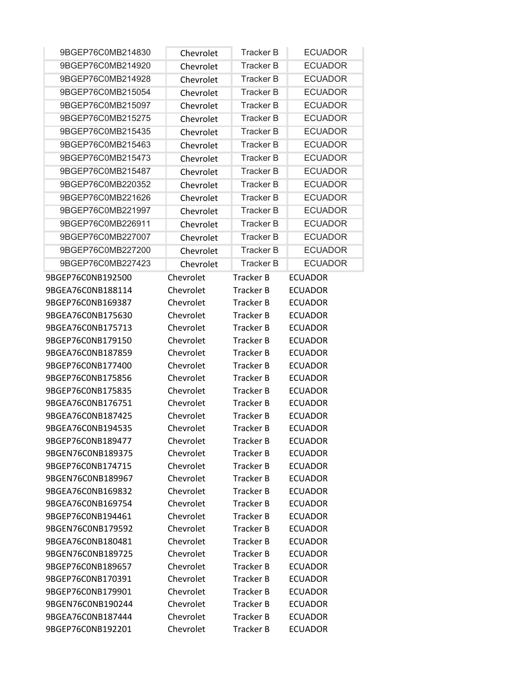| 9BGEP76C0MB214830                      | Chevrolet              | <b>Tracker B</b>              | <b>ECUADOR</b>                   |
|----------------------------------------|------------------------|-------------------------------|----------------------------------|
| 9BGEP76C0MB214920                      | Chevrolet              | <b>Tracker B</b>              | <b>ECUADOR</b>                   |
| 9BGEP76C0MB214928                      | Chevrolet              | <b>Tracker B</b>              | <b>ECUADOR</b>                   |
| 9BGEP76C0MB215054                      | Chevrolet              | <b>Tracker B</b>              | <b>ECUADOR</b>                   |
| 9BGEP76C0MB215097                      | Chevrolet              | <b>Tracker B</b>              | <b>ECUADOR</b>                   |
| 9BGEP76C0MB215275                      | Chevrolet              | Tracker B                     | <b>ECUADOR</b>                   |
| 9BGEP76C0MB215435                      | Chevrolet              | <b>Tracker B</b>              | <b>ECUADOR</b>                   |
| 9BGEP76C0MB215463                      | Chevrolet              | <b>Tracker B</b>              | <b>ECUADOR</b>                   |
| 9BGEP76C0MB215473                      | Chevrolet              | Tracker B                     | <b>ECUADOR</b>                   |
| 9BGEP76C0MB215487                      | Chevrolet              | <b>Tracker B</b>              | <b>ECUADOR</b>                   |
| 9BGEP76C0MB220352                      | Chevrolet              | <b>Tracker B</b>              | <b>ECUADOR</b>                   |
| 9BGEP76C0MB221626                      | Chevrolet              | <b>Tracker B</b>              | <b>ECUADOR</b>                   |
| 9BGEP76C0MB221997                      | Chevrolet              | <b>Tracker B</b>              | <b>ECUADOR</b>                   |
| 9BGEP76C0MB226911                      | Chevrolet              | Tracker B                     | <b>ECUADOR</b>                   |
| 9BGEP76C0MB227007                      | Chevrolet              | <b>Tracker B</b>              | <b>ECUADOR</b>                   |
| 9BGEP76C0MB227200                      | Chevrolet              | <b>Tracker B</b>              | <b>ECUADOR</b>                   |
| 9BGEP76C0MB227423                      | Chevrolet              | <b>Tracker B</b>              | <b>ECUADOR</b>                   |
| 9BGEP76C0NB192500                      | Chevrolet              | <b>Tracker B</b>              | <b>ECUADOR</b>                   |
| 9BGEA76C0NB188114                      | Chevrolet              | Tracker B                     | <b>ECUADOR</b>                   |
| 9BGEP76C0NB169387                      | Chevrolet              | Tracker B                     | <b>ECUADOR</b>                   |
| 9BGEA76C0NB175630                      | Chevrolet              | Tracker B                     | <b>ECUADOR</b>                   |
| 9BGEA76C0NB175713                      | Chevrolet              | Tracker B                     | <b>ECUADOR</b>                   |
| 9BGEP76C0NB179150                      | Chevrolet              | Tracker B                     | <b>ECUADOR</b>                   |
| 9BGEA76C0NB187859                      | Chevrolet              | Tracker B                     | <b>ECUADOR</b>                   |
| 9BGEP76C0NB177400                      | Chevrolet              | Tracker B                     | <b>ECUADOR</b>                   |
| 9BGEP76C0NB175856                      | Chevrolet              | Tracker B                     | <b>ECUADOR</b>                   |
| 9BGEP76C0NB175835                      | Chevrolet              | <b>Tracker B</b>              | <b>ECUADOR</b>                   |
| 9BGEA76C0NB176751                      | Chevrolet              | Tracker B                     | <b>ECUADOR</b>                   |
| 9BGEA76C0NB187425                      | Chevrolet              | Tracker B                     | <b>ECUADOR</b>                   |
| 9BGEA76C0NB194535                      | Chevrolet              | <b>Tracker B</b>              | <b>ECUADOR</b>                   |
| 9BGEP76C0NB189477                      | Chevrolet<br>Chevrolet | <b>Tracker B</b>              | <b>ECUADOR</b>                   |
| 9BGEN76C0NB189375<br>9BGEP76C0NB174715 | Chevrolet              | Tracker B<br><b>Tracker B</b> | <b>ECUADOR</b><br><b>ECUADOR</b> |
| 9BGEN76C0NB189967                      | Chevrolet              | <b>Tracker B</b>              | <b>ECUADOR</b>                   |
| 9BGEA76C0NB169832                      | Chevrolet              | <b>Tracker B</b>              | <b>ECUADOR</b>                   |
| 9BGEA76C0NB169754                      | Chevrolet              | <b>Tracker B</b>              | <b>ECUADOR</b>                   |
| 9BGEP76C0NB194461                      | Chevrolet              | <b>Tracker B</b>              | <b>ECUADOR</b>                   |
| 9BGEN76C0NB179592                      | Chevrolet              | <b>Tracker B</b>              | <b>ECUADOR</b>                   |
| 9BGEA76C0NB180481                      | Chevrolet              | <b>Tracker B</b>              | <b>ECUADOR</b>                   |
| 9BGEN76C0NB189725                      | Chevrolet              | Tracker B                     | <b>ECUADOR</b>                   |
| 9BGEP76C0NB189657                      | Chevrolet              | <b>Tracker B</b>              | <b>ECUADOR</b>                   |
| 9BGEP76C0NB170391                      | Chevrolet              | Tracker B                     | <b>ECUADOR</b>                   |
| 9BGEP76C0NB179901                      | Chevrolet              | Tracker B                     | <b>ECUADOR</b>                   |
| 9BGEN76C0NB190244                      | Chevrolet              | Tracker B                     | <b>ECUADOR</b>                   |
| 9BGEA76C0NB187444                      | Chevrolet              | <b>Tracker B</b>              | <b>ECUADOR</b>                   |
| 9BGEP76C0NB192201                      | Chevrolet              | <b>Tracker B</b>              | <b>ECUADOR</b>                   |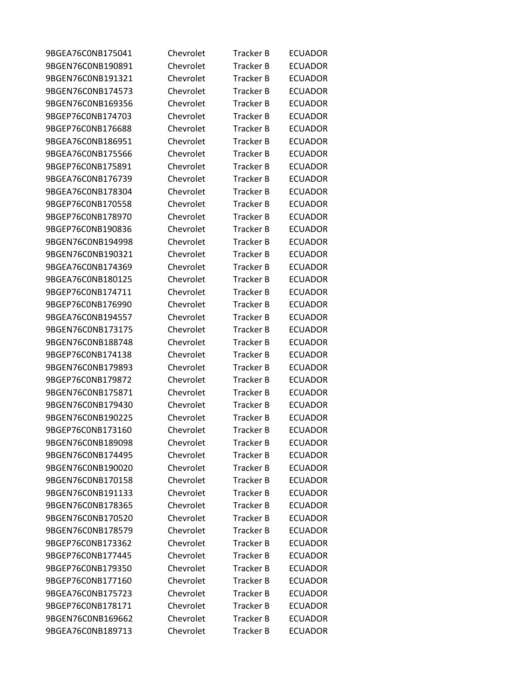| 9BGEA76C0NB175041 | Chevrolet | Tracker B        | <b>ECUADOR</b> |
|-------------------|-----------|------------------|----------------|
| 9BGEN76C0NB190891 | Chevrolet | <b>Tracker B</b> | <b>ECUADOR</b> |
| 9BGEN76C0NB191321 | Chevrolet | <b>Tracker B</b> | <b>ECUADOR</b> |
| 9BGEN76C0NB174573 | Chevrolet | <b>Tracker B</b> | <b>ECUADOR</b> |
| 9BGEN76C0NB169356 | Chevrolet | Tracker B        | <b>ECUADOR</b> |
| 9BGEP76C0NB174703 | Chevrolet | <b>Tracker B</b> | <b>ECUADOR</b> |
| 9BGEP76C0NB176688 | Chevrolet | <b>Tracker B</b> | <b>ECUADOR</b> |
| 9BGEA76C0NB186951 | Chevrolet | <b>Tracker B</b> | <b>ECUADOR</b> |
| 9BGEA76C0NB175566 | Chevrolet | <b>Tracker B</b> | <b>ECUADOR</b> |
| 9BGEP76C0NB175891 | Chevrolet | Tracker B        | <b>ECUADOR</b> |
| 9BGEA76C0NB176739 | Chevrolet | <b>Tracker B</b> | <b>ECUADOR</b> |
| 9BGEA76C0NB178304 | Chevrolet | Tracker B        | <b>ECUADOR</b> |
| 9BGEP76C0NB170558 | Chevrolet | <b>Tracker B</b> | <b>ECUADOR</b> |
| 9BGEP76C0NB178970 | Chevrolet | <b>Tracker B</b> | <b>ECUADOR</b> |
| 9BGEP76C0NB190836 | Chevrolet | Tracker B        | <b>ECUADOR</b> |
| 9BGEN76C0NB194998 | Chevrolet | <b>Tracker B</b> | <b>ECUADOR</b> |
| 9BGEN76C0NB190321 | Chevrolet | Tracker B        | <b>ECUADOR</b> |
| 9BGEA76C0NB174369 | Chevrolet | <b>Tracker B</b> | <b>ECUADOR</b> |
| 9BGEA76C0NB180125 | Chevrolet | Tracker B        | <b>ECUADOR</b> |
| 9BGEP76C0NB174711 | Chevrolet | <b>Tracker B</b> | <b>ECUADOR</b> |
| 9BGEP76C0NB176990 | Chevrolet | <b>Tracker B</b> | <b>ECUADOR</b> |
| 9BGEA76C0NB194557 | Chevrolet | Tracker B        | <b>ECUADOR</b> |
| 9BGEN76CONB173175 | Chevrolet | <b>Tracker B</b> | <b>ECUADOR</b> |
| 9BGEN76C0NB188748 | Chevrolet | Tracker B        | <b>ECUADOR</b> |
| 9BGEP76C0NB174138 | Chevrolet | <b>Tracker B</b> | <b>ECUADOR</b> |
| 9BGEN76C0NB179893 | Chevrolet | <b>Tracker B</b> | <b>ECUADOR</b> |
| 9BGEP76C0NB179872 | Chevrolet | <b>Tracker B</b> | <b>ECUADOR</b> |
| 9BGEN76CONB175871 | Chevrolet | <b>Tracker B</b> | <b>ECUADOR</b> |
| 9BGEN76C0NB179430 | Chevrolet | Tracker B        | <b>ECUADOR</b> |
| 9BGEN76C0NB190225 | Chevrolet | <b>Tracker B</b> | <b>ECUADOR</b> |
| 9BGEP76C0NB173160 | Chevrolet | Tracker B        | <b>ECUADOR</b> |
| 9BGEN76C0NB189098 | Chevrolet | Tracker B        | <b>ECUADOR</b> |
| 9BGEN76C0NB174495 | Chevrolet | <b>Tracker B</b> | <b>ECUADOR</b> |
| 9BGEN76C0NB190020 | Chevrolet | <b>Tracker B</b> | <b>ECUADOR</b> |
| 9BGEN76C0NB170158 | Chevrolet | <b>Tracker B</b> | <b>ECUADOR</b> |
| 9BGEN76C0NB191133 | Chevrolet | <b>Tracker B</b> | <b>ECUADOR</b> |
| 9BGEN76C0NB178365 | Chevrolet | <b>Tracker B</b> | <b>ECUADOR</b> |
| 9BGEN76C0NB170520 | Chevrolet | Tracker B        | <b>ECUADOR</b> |
| 9BGEN76C0NB178579 | Chevrolet | <b>Tracker B</b> | <b>ECUADOR</b> |
| 9BGEP76C0NB173362 | Chevrolet | <b>Tracker B</b> | <b>ECUADOR</b> |
| 9BGEP76C0NB177445 | Chevrolet | Tracker B        | <b>ECUADOR</b> |
| 9BGEP76C0NB179350 | Chevrolet | <b>Tracker B</b> | <b>ECUADOR</b> |
| 9BGEP76C0NB177160 | Chevrolet | <b>Tracker B</b> | <b>ECUADOR</b> |
| 9BGEA76C0NB175723 | Chevrolet | <b>Tracker B</b> | <b>ECUADOR</b> |
| 9BGEP76C0NB178171 | Chevrolet | Tracker B        | <b>ECUADOR</b> |
| 9BGEN76C0NB169662 | Chevrolet | Tracker B        | <b>ECUADOR</b> |
| 9BGEA76C0NB189713 | Chevrolet | <b>Tracker B</b> | <b>ECUADOR</b> |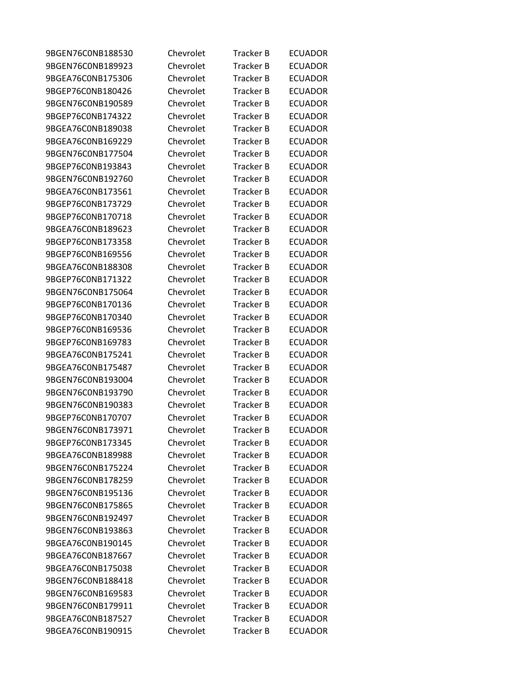| 9BGEN76C0NB188530 | Chevrolet | Tracker B        | <b>ECUADOR</b> |
|-------------------|-----------|------------------|----------------|
| 9BGEN76C0NB189923 | Chevrolet | <b>Tracker B</b> | <b>ECUADOR</b> |
| 9BGEA76C0NB175306 | Chevrolet | <b>Tracker B</b> | <b>ECUADOR</b> |
| 9BGEP76C0NB180426 | Chevrolet | <b>Tracker B</b> | <b>ECUADOR</b> |
| 9BGEN76C0NB190589 | Chevrolet | Tracker B        | <b>ECUADOR</b> |
| 9BGEP76C0NB174322 | Chevrolet | <b>Tracker B</b> | <b>ECUADOR</b> |
| 9BGEA76C0NB189038 | Chevrolet | <b>Tracker B</b> | <b>ECUADOR</b> |
| 9BGEA76C0NB169229 | Chevrolet | <b>Tracker B</b> | <b>ECUADOR</b> |
| 9BGEN76C0NB177504 | Chevrolet | <b>Tracker B</b> | <b>ECUADOR</b> |
| 9BGEP76C0NB193843 | Chevrolet | Tracker B        | <b>ECUADOR</b> |
| 9BGEN76C0NB192760 | Chevrolet | <b>Tracker B</b> | <b>ECUADOR</b> |
| 9BGEA76C0NB173561 | Chevrolet | Tracker B        | <b>ECUADOR</b> |
| 9BGEP76C0NB173729 | Chevrolet | <b>Tracker B</b> | <b>ECUADOR</b> |
| 9BGEP76C0NB170718 | Chevrolet | <b>Tracker B</b> | <b>ECUADOR</b> |
| 9BGEA76C0NB189623 | Chevrolet | Tracker B        | <b>ECUADOR</b> |
| 9BGEP76C0NB173358 | Chevrolet | <b>Tracker B</b> | <b>ECUADOR</b> |
| 9BGEP76C0NB169556 | Chevrolet | Tracker B        | <b>ECUADOR</b> |
| 9BGEA76C0NB188308 | Chevrolet | <b>Tracker B</b> | <b>ECUADOR</b> |
| 9BGEP76C0NB171322 | Chevrolet | Tracker B        | <b>ECUADOR</b> |
| 9BGEN76C0NB175064 | Chevrolet | <b>Tracker B</b> | <b>ECUADOR</b> |
| 9BGEP76C0NB170136 | Chevrolet | <b>Tracker B</b> | <b>ECUADOR</b> |
| 9BGEP76C0NB170340 | Chevrolet | Tracker B        | <b>ECUADOR</b> |
| 9BGEP76C0NB169536 | Chevrolet | <b>Tracker B</b> | <b>ECUADOR</b> |
| 9BGEP76C0NB169783 | Chevrolet | Tracker B        | <b>ECUADOR</b> |
| 9BGEA76C0NB175241 | Chevrolet | <b>Tracker B</b> | <b>ECUADOR</b> |
| 9BGEA76C0NB175487 | Chevrolet | <b>Tracker B</b> | <b>ECUADOR</b> |
| 9BGEN76C0NB193004 | Chevrolet | <b>Tracker B</b> | <b>ECUADOR</b> |
| 9BGEN76C0NB193790 | Chevrolet | <b>Tracker B</b> | <b>ECUADOR</b> |
| 9BGEN76C0NB190383 | Chevrolet | Tracker B        | <b>ECUADOR</b> |
| 9BGEP76C0NB170707 | Chevrolet | <b>Tracker B</b> | <b>ECUADOR</b> |
| 9BGEN76C0NB173971 | Chevrolet | Tracker B        | <b>ECUADOR</b> |
| 9BGEP76C0NB173345 | Chevrolet | Tracker B        | <b>ECUADOR</b> |
| 9BGEA76C0NB189988 | Chevrolet | <b>Tracker B</b> | <b>ECUADOR</b> |
| 9BGEN76C0NB175224 | Chevrolet | <b>Tracker B</b> | <b>ECUADOR</b> |
| 9BGEN76C0NB178259 | Chevrolet | <b>Tracker B</b> | <b>ECUADOR</b> |
| 9BGEN76C0NB195136 | Chevrolet | <b>Tracker B</b> | <b>ECUADOR</b> |
| 9BGEN76C0NB175865 | Chevrolet | <b>Tracker B</b> | <b>ECUADOR</b> |
| 9BGEN76C0NB192497 | Chevrolet | Tracker B        | <b>ECUADOR</b> |
| 9BGEN76C0NB193863 | Chevrolet | <b>Tracker B</b> | <b>ECUADOR</b> |
| 9BGEA76C0NB190145 | Chevrolet | <b>Tracker B</b> | <b>ECUADOR</b> |
| 9BGEA76C0NB187667 | Chevrolet | Tracker B        | <b>ECUADOR</b> |
| 9BGEA76C0NB175038 | Chevrolet | <b>Tracker B</b> | <b>ECUADOR</b> |
| 9BGEN76C0NB188418 | Chevrolet | <b>Tracker B</b> | <b>ECUADOR</b> |
| 9BGEN76C0NB169583 | Chevrolet | <b>Tracker B</b> | <b>ECUADOR</b> |
| 9BGEN76C0NB179911 | Chevrolet | Tracker B        | <b>ECUADOR</b> |
| 9BGEA76C0NB187527 | Chevrolet | Tracker B        | <b>ECUADOR</b> |
| 9BGEA76C0NB190915 | Chevrolet | Tracker B        | <b>ECUADOR</b> |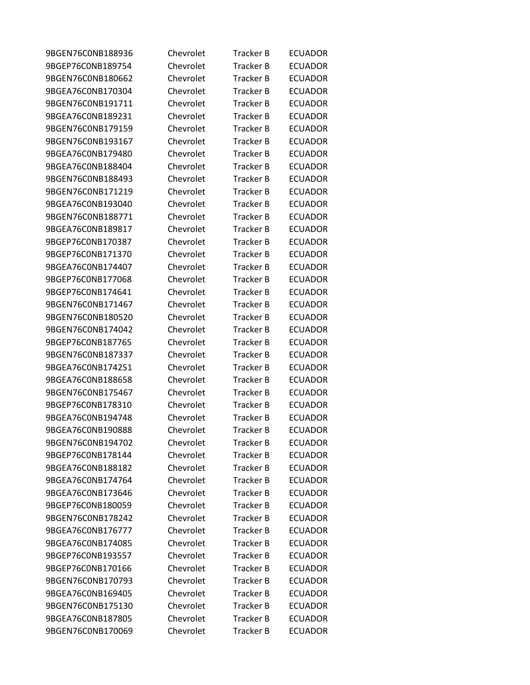| 9BGEN76C0NB188936 | Chevrolet | Tracker B        | <b>ECUADOR</b> |
|-------------------|-----------|------------------|----------------|
| 9BGEP76C0NB189754 | Chevrolet | <b>Tracker B</b> | <b>ECUADOR</b> |
| 9BGEN76C0NB180662 | Chevrolet | <b>Tracker B</b> | <b>ECUADOR</b> |
| 9BGEA76C0NB170304 | Chevrolet | <b>Tracker B</b> | <b>ECUADOR</b> |
| 9BGEN76C0NB191711 | Chevrolet | Tracker B        | <b>ECUADOR</b> |
| 9BGEA76C0NB189231 | Chevrolet | <b>Tracker B</b> | <b>ECUADOR</b> |
| 9BGEN76C0NB179159 | Chevrolet | <b>Tracker B</b> | <b>ECUADOR</b> |
| 9BGEN76C0NB193167 | Chevrolet | <b>Tracker B</b> | <b>ECUADOR</b> |
| 9BGEA76C0NB179480 | Chevrolet | <b>Tracker B</b> | <b>ECUADOR</b> |
| 9BGEA76C0NB188404 | Chevrolet | Tracker B        | <b>ECUADOR</b> |
| 9BGEN76C0NB188493 | Chevrolet | <b>Tracker B</b> | <b>ECUADOR</b> |
| 9BGEN76C0NB171219 | Chevrolet | Tracker B        | <b>ECUADOR</b> |
| 9BGEA76C0NB193040 | Chevrolet | <b>Tracker B</b> | <b>ECUADOR</b> |
| 9BGEN76CONB188771 | Chevrolet | <b>Tracker B</b> | <b>ECUADOR</b> |
| 9BGEA76C0NB189817 | Chevrolet | Tracker B        | <b>ECUADOR</b> |
| 9BGEP76C0NB170387 | Chevrolet | <b>Tracker B</b> | <b>ECUADOR</b> |
| 9BGEP76C0NB171370 | Chevrolet | Tracker B        | <b>ECUADOR</b> |
| 9BGEA76C0NB174407 | Chevrolet | <b>Tracker B</b> | <b>ECUADOR</b> |
| 9BGEP76C0NB177068 | Chevrolet | Tracker B        | <b>ECUADOR</b> |
| 9BGEP76C0NB174641 | Chevrolet | <b>Tracker B</b> | <b>ECUADOR</b> |
| 9BGEN76C0NB171467 | Chevrolet | <b>Tracker B</b> | <b>ECUADOR</b> |
| 9BGEN76C0NB180520 | Chevrolet | Tracker B        | <b>ECUADOR</b> |
| 9BGEN76C0NB174042 | Chevrolet | <b>Tracker B</b> | <b>ECUADOR</b> |
| 9BGEP76C0NB187765 | Chevrolet | Tracker B        | <b>ECUADOR</b> |
| 9BGEN76C0NB187337 | Chevrolet | <b>Tracker B</b> | <b>ECUADOR</b> |
| 9BGEA76C0NB174251 | Chevrolet | <b>Tracker B</b> | <b>ECUADOR</b> |
| 9BGEA76C0NB188658 | Chevrolet | <b>Tracker B</b> | <b>ECUADOR</b> |
| 9BGEN76C0NB175467 | Chevrolet | <b>Tracker B</b> | <b>ECUADOR</b> |
| 9BGEP76C0NB178310 | Chevrolet | Tracker B        | <b>ECUADOR</b> |
| 9BGEA76C0NB194748 | Chevrolet | <b>Tracker B</b> | <b>ECUADOR</b> |
| 9BGEA76C0NB190888 | Chevrolet | Tracker B        | <b>ECUADOR</b> |
| 9BGEN76C0NB194702 | Chevrolet | Tracker B        | <b>ECUADOR</b> |
| 9BGEP76C0NB178144 | Chevrolet | <b>Tracker B</b> | <b>ECUADOR</b> |
| 9BGEA76C0NB188182 | Chevrolet | Tracker B        | <b>ECUADOR</b> |
| 9BGEA76C0NB174764 | Chevrolet | <b>Tracker B</b> | <b>ECUADOR</b> |
| 9BGEA76C0NB173646 | Chevrolet | <b>Tracker B</b> | <b>ECUADOR</b> |
| 9BGEP76C0NB180059 | Chevrolet | <b>Tracker B</b> | <b>ECUADOR</b> |
| 9BGEN76C0NB178242 | Chevrolet | Tracker B        | <b>ECUADOR</b> |
| 9BGEA76C0NB176777 | Chevrolet | <b>Tracker B</b> | <b>ECUADOR</b> |
| 9BGEA76C0NB174085 | Chevrolet | <b>Tracker B</b> | <b>ECUADOR</b> |
| 9BGEP76C0NB193557 | Chevrolet | Tracker B        | <b>ECUADOR</b> |
| 9BGEP76C0NB170166 | Chevrolet | <b>Tracker B</b> | <b>ECUADOR</b> |
| 9BGEN76C0NB170793 | Chevrolet | <b>Tracker B</b> | <b>ECUADOR</b> |
| 9BGEA76C0NB169405 | Chevrolet | <b>Tracker B</b> | <b>ECUADOR</b> |
| 9BGEN76C0NB175130 | Chevrolet | Tracker B        | <b>ECUADOR</b> |
| 9BGEA76C0NB187805 | Chevrolet | Tracker B        | <b>ECUADOR</b> |
| 9BGEN76C0NB170069 | Chevrolet | <b>Tracker B</b> | <b>ECUADOR</b> |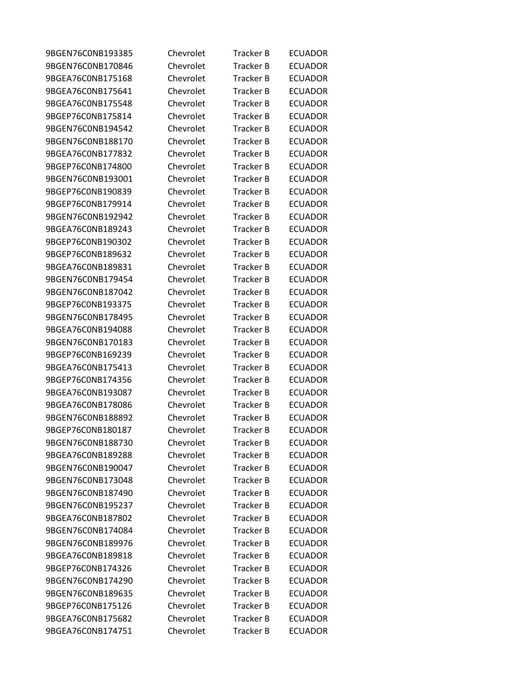| 9BGEN76C0NB193385 | Chevrolet | Tracker B        | <b>ECUADOR</b> |
|-------------------|-----------|------------------|----------------|
| 9BGEN76C0NB170846 | Chevrolet | <b>Tracker B</b> | <b>ECUADOR</b> |
| 9BGEA76C0NB175168 | Chevrolet | <b>Tracker B</b> | <b>ECUADOR</b> |
| 9BGEA76C0NB175641 | Chevrolet | <b>Tracker B</b> | <b>ECUADOR</b> |
| 9BGEA76C0NB175548 | Chevrolet | Tracker B        | <b>ECUADOR</b> |
| 9BGEP76C0NB175814 | Chevrolet | <b>Tracker B</b> | <b>ECUADOR</b> |
| 9BGEN76C0NB194542 | Chevrolet | <b>Tracker B</b> | <b>ECUADOR</b> |
| 9BGEN76C0NB188170 | Chevrolet | <b>Tracker B</b> | <b>ECUADOR</b> |
| 9BGEA76C0NB177832 | Chevrolet | <b>Tracker B</b> | <b>ECUADOR</b> |
| 9BGEP76C0NB174800 | Chevrolet | Tracker B        | <b>ECUADOR</b> |
| 9BGEN76C0NB193001 | Chevrolet | <b>Tracker B</b> | <b>ECUADOR</b> |
| 9BGEP76C0NB190839 | Chevrolet | Tracker B        | <b>ECUADOR</b> |
| 9BGEP76C0NB179914 | Chevrolet | <b>Tracker B</b> | <b>ECUADOR</b> |
| 9BGEN76C0NB192942 | Chevrolet | <b>Tracker B</b> | <b>ECUADOR</b> |
| 9BGEA76C0NB189243 | Chevrolet | Tracker B        | <b>ECUADOR</b> |
| 9BGEP76C0NB190302 | Chevrolet | <b>Tracker B</b> | <b>ECUADOR</b> |
| 9BGEP76C0NB189632 | Chevrolet | Tracker B        | <b>ECUADOR</b> |
| 9BGEA76C0NB189831 | Chevrolet | <b>Tracker B</b> | <b>ECUADOR</b> |
| 9BGEN76C0NB179454 | Chevrolet | Tracker B        | <b>ECUADOR</b> |
| 9BGEN76C0NB187042 | Chevrolet | <b>Tracker B</b> | <b>ECUADOR</b> |
| 9BGEP76C0NB193375 | Chevrolet | <b>Tracker B</b> | <b>ECUADOR</b> |
| 9BGEN76C0NB178495 | Chevrolet | Tracker B        | <b>ECUADOR</b> |
| 9BGEA76C0NB194088 | Chevrolet | <b>Tracker B</b> | <b>ECUADOR</b> |
| 9BGEN76C0NB170183 | Chevrolet | Tracker B        | <b>ECUADOR</b> |
| 9BGEP76C0NB169239 | Chevrolet | <b>Tracker B</b> | <b>ECUADOR</b> |
| 9BGEA76C0NB175413 | Chevrolet | <b>Tracker B</b> | <b>ECUADOR</b> |
| 9BGEP76C0NB174356 | Chevrolet | <b>Tracker B</b> | <b>ECUADOR</b> |
| 9BGEA76C0NB193087 | Chevrolet | <b>Tracker B</b> | <b>ECUADOR</b> |
| 9BGEA76C0NB178086 | Chevrolet | Tracker B        | <b>ECUADOR</b> |
| 9BGEN76C0NB188892 | Chevrolet | <b>Tracker B</b> | <b>ECUADOR</b> |
| 9BGEP76C0NB180187 | Chevrolet | Tracker B        | <b>ECUADOR</b> |
| 9BGEN76C0NB188730 | Chevrolet | Tracker B        | <b>ECUADOR</b> |
| 9BGEA76C0NB189288 | Chevrolet | <b>Tracker B</b> | <b>ECUADOR</b> |
| 9BGEN76C0NB190047 | Chevrolet | Tracker B        | <b>ECUADOR</b> |
| 9BGEN76C0NB173048 | Chevrolet | <b>Tracker B</b> | <b>ECUADOR</b> |
| 9BGEN76C0NB187490 | Chevrolet | <b>Tracker B</b> | <b>ECUADOR</b> |
| 9BGEN76C0NB195237 | Chevrolet | <b>Tracker B</b> | <b>ECUADOR</b> |
| 9BGEA76C0NB187802 | Chevrolet | Tracker B        | <b>ECUADOR</b> |
| 9BGEN76C0NB174084 | Chevrolet | <b>Tracker B</b> | <b>ECUADOR</b> |
| 9BGEN76C0NB189976 | Chevrolet | <b>Tracker B</b> | <b>ECUADOR</b> |
| 9BGEA76C0NB189818 | Chevrolet | Tracker B        | <b>ECUADOR</b> |
| 9BGEP76C0NB174326 | Chevrolet | <b>Tracker B</b> | <b>ECUADOR</b> |
| 9BGEN76C0NB174290 | Chevrolet | <b>Tracker B</b> | <b>ECUADOR</b> |
| 9BGEN76C0NB189635 | Chevrolet | <b>Tracker B</b> | <b>ECUADOR</b> |
| 9BGEP76C0NB175126 | Chevrolet | Tracker B        | <b>ECUADOR</b> |
| 9BGEA76C0NB175682 | Chevrolet | Tracker B        | <b>ECUADOR</b> |
| 9BGEA76C0NB174751 | Chevrolet | Tracker B        | <b>ECUADOR</b> |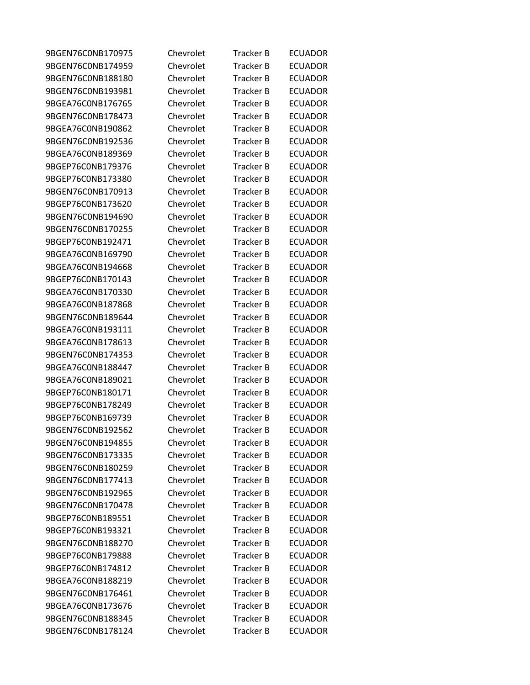| 9BGEN76C0NB170975 | Chevrolet | Tracker B        | <b>ECUADOR</b> |
|-------------------|-----------|------------------|----------------|
| 9BGEN76C0NB174959 | Chevrolet | <b>Tracker B</b> | <b>ECUADOR</b> |
| 9BGEN76C0NB188180 | Chevrolet | <b>Tracker B</b> | <b>ECUADOR</b> |
| 9BGEN76C0NB193981 | Chevrolet | <b>Tracker B</b> | <b>ECUADOR</b> |
| 9BGEA76C0NB176765 | Chevrolet | <b>Tracker B</b> | <b>ECUADOR</b> |
| 9BGEN76C0NB178473 | Chevrolet | <b>Tracker B</b> | <b>ECUADOR</b> |
| 9BGEA76C0NB190862 | Chevrolet | <b>Tracker B</b> | <b>ECUADOR</b> |
| 9BGEN76C0NB192536 | Chevrolet | <b>Tracker B</b> | <b>ECUADOR</b> |
| 9BGEA76C0NB189369 | Chevrolet | <b>Tracker B</b> | <b>ECUADOR</b> |
| 9BGEP76C0NB179376 | Chevrolet | Tracker B        | <b>ECUADOR</b> |
| 9BGEP76C0NB173380 | Chevrolet | <b>Tracker B</b> | <b>ECUADOR</b> |
| 9BGEN76C0NB170913 | Chevrolet | <b>Tracker B</b> | <b>ECUADOR</b> |
| 9BGEP76C0NB173620 | Chevrolet | <b>Tracker B</b> | <b>ECUADOR</b> |
| 9BGEN76C0NB194690 | Chevrolet | Tracker B        | <b>ECUADOR</b> |
| 9BGEN76C0NB170255 | Chevrolet | <b>Tracker B</b> | <b>ECUADOR</b> |
| 9BGEP76C0NB192471 | Chevrolet | <b>Tracker B</b> | <b>ECUADOR</b> |
| 9BGEA76C0NB169790 | Chevrolet | <b>Tracker B</b> | <b>ECUADOR</b> |
| 9BGEA76C0NB194668 | Chevrolet | <b>Tracker B</b> | <b>ECUADOR</b> |
| 9BGEP76C0NB170143 | Chevrolet | Tracker B        | <b>ECUADOR</b> |
| 9BGEA76C0NB170330 | Chevrolet | <b>Tracker B</b> | <b>ECUADOR</b> |
| 9BGEA76C0NB187868 | Chevrolet | <b>Tracker B</b> | <b>ECUADOR</b> |
| 9BGEN76C0NB189644 | Chevrolet | <b>Tracker B</b> | <b>ECUADOR</b> |
| 9BGEA76C0NB193111 | Chevrolet | <b>Tracker B</b> | <b>ECUADOR</b> |
| 9BGEA76C0NB178613 | Chevrolet | Tracker B        | <b>ECUADOR</b> |
| 9BGEN76C0NB174353 | Chevrolet | <b>Tracker B</b> | <b>ECUADOR</b> |
| 9BGEA76C0NB188447 | Chevrolet | <b>Tracker B</b> | <b>ECUADOR</b> |
| 9BGEA76C0NB189021 | Chevrolet | <b>Tracker B</b> | <b>ECUADOR</b> |
| 9BGEP76C0NB180171 | Chevrolet | Tracker B        | <b>ECUADOR</b> |
| 9BGEP76C0NB178249 | Chevrolet | Tracker B        | <b>ECUADOR</b> |
| 9BGEP76C0NB169739 | Chevrolet | <b>Tracker B</b> | <b>ECUADOR</b> |
| 9BGEN76C0NB192562 | Chevrolet | <b>Tracker B</b> | <b>ECUADOR</b> |
| 9BGEN76C0NB194855 | Chevrolet | <b>Tracker B</b> | <b>ECUADOR</b> |
| 9BGEN76C0NB173335 | Chevrolet | <b>Tracker B</b> | <b>ECUADOR</b> |
| 9BGEN76C0NB180259 | Chevrolet | Tracker B        | <b>ECUADOR</b> |
| 9BGEN76C0NB177413 | Chevrolet | <b>Tracker B</b> | <b>ECUADOR</b> |
| 9BGEN76C0NB192965 | Chevrolet | <b>Tracker B</b> | <b>ECUADOR</b> |
| 9BGEN76C0NB170478 | Chevrolet | <b>Tracker B</b> | <b>ECUADOR</b> |
| 9BGEP76C0NB189551 | Chevrolet | Tracker B        | <b>ECUADOR</b> |
| 9BGEP76C0NB193321 | Chevrolet | <b>Tracker B</b> | <b>ECUADOR</b> |
| 9BGEN76C0NB188270 | Chevrolet | Tracker B        | <b>ECUADOR</b> |
| 9BGEP76C0NB179888 | Chevrolet | <b>Tracker B</b> | <b>ECUADOR</b> |
| 9BGEP76C0NB174812 | Chevrolet | <b>Tracker B</b> | <b>ECUADOR</b> |
| 9BGEA76C0NB188219 | Chevrolet | <b>Tracker B</b> | <b>ECUADOR</b> |
| 9BGEN76C0NB176461 | Chevrolet | <b>Tracker B</b> | <b>ECUADOR</b> |
| 9BGEA76C0NB173676 | Chevrolet | Tracker B        | <b>ECUADOR</b> |
| 9BGEN76C0NB188345 | Chevrolet | Tracker B        | <b>ECUADOR</b> |
| 9BGEN76C0NB178124 | Chevrolet | <b>Tracker B</b> | <b>ECUADOR</b> |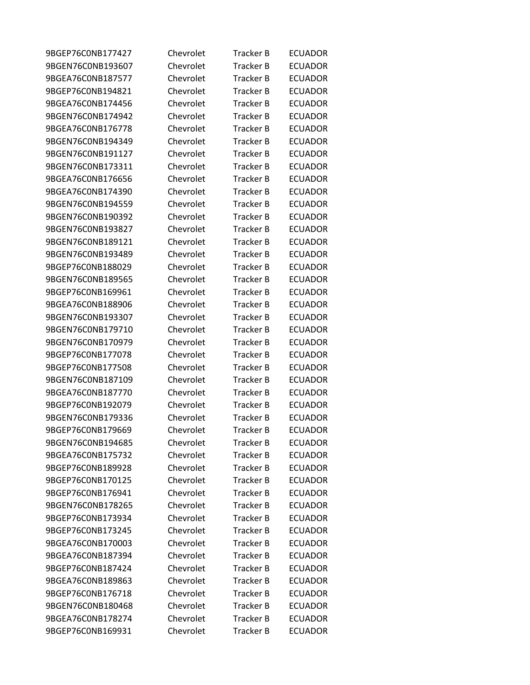| 9BGEP76C0NB177427 | Chevrolet | Tracker B        | <b>ECUADOR</b> |
|-------------------|-----------|------------------|----------------|
| 9BGEN76C0NB193607 | Chevrolet | <b>Tracker B</b> | <b>ECUADOR</b> |
| 9BGEA76C0NB187577 | Chevrolet | <b>Tracker B</b> | <b>ECUADOR</b> |
| 9BGEP76C0NB194821 | Chevrolet | <b>Tracker B</b> | <b>ECUADOR</b> |
| 9BGEA76C0NB174456 | Chevrolet | Tracker B        | <b>ECUADOR</b> |
| 9BGEN76C0NB174942 | Chevrolet | <b>Tracker B</b> | <b>ECUADOR</b> |
| 9BGEA76C0NB176778 | Chevrolet | <b>Tracker B</b> | <b>ECUADOR</b> |
| 9BGEN76C0NB194349 | Chevrolet | <b>Tracker B</b> | <b>ECUADOR</b> |
| 9BGEN76C0NB191127 | Chevrolet | <b>Tracker B</b> | <b>ECUADOR</b> |
| 9BGEN76C0NB173311 | Chevrolet | Tracker B        | <b>ECUADOR</b> |
| 9BGEA76C0NB176656 | Chevrolet | <b>Tracker B</b> | <b>ECUADOR</b> |
| 9BGEA76C0NB174390 | Chevrolet | Tracker B        | <b>ECUADOR</b> |
| 9BGEN76C0NB194559 | Chevrolet | <b>Tracker B</b> | <b>ECUADOR</b> |
| 9BGEN76C0NB190392 | Chevrolet | <b>Tracker B</b> | <b>ECUADOR</b> |
| 9BGEN76C0NB193827 | Chevrolet | Tracker B        | <b>ECUADOR</b> |
| 9BGEN76C0NB189121 | Chevrolet | <b>Tracker B</b> | <b>ECUADOR</b> |
| 9BGEN76C0NB193489 | Chevrolet | Tracker B        | <b>ECUADOR</b> |
| 9BGEP76C0NB188029 | Chevrolet | <b>Tracker B</b> | <b>ECUADOR</b> |
| 9BGEN76C0NB189565 | Chevrolet | Tracker B        | <b>ECUADOR</b> |
| 9BGEP76C0NB169961 | Chevrolet | <b>Tracker B</b> | <b>ECUADOR</b> |
| 9BGEA76C0NB188906 | Chevrolet | <b>Tracker B</b> | <b>ECUADOR</b> |
| 9BGEN76C0NB193307 | Chevrolet | Tracker B        | <b>ECUADOR</b> |
| 9BGEN76C0NB179710 | Chevrolet | <b>Tracker B</b> | <b>ECUADOR</b> |
| 9BGEN76C0NB170979 | Chevrolet | Tracker B        | <b>ECUADOR</b> |
| 9BGEP76C0NB177078 | Chevrolet | <b>Tracker B</b> | <b>ECUADOR</b> |
| 9BGEP76C0NB177508 | Chevrolet | <b>Tracker B</b> | <b>ECUADOR</b> |
| 9BGEN76C0NB187109 | Chevrolet | <b>Tracker B</b> | <b>ECUADOR</b> |
| 9BGEA76C0NB187770 | Chevrolet | <b>Tracker B</b> | <b>ECUADOR</b> |
| 9BGEP76C0NB192079 | Chevrolet | Tracker B        | <b>ECUADOR</b> |
| 9BGEN76C0NB179336 | Chevrolet | <b>Tracker B</b> | <b>ECUADOR</b> |
| 9BGEP76C0NB179669 | Chevrolet | Tracker B        | <b>ECUADOR</b> |
| 9BGEN76C0NB194685 | Chevrolet | Tracker B        | <b>ECUADOR</b> |
| 9BGEA76C0NB175732 | Chevrolet | <b>Tracker B</b> | <b>ECUADOR</b> |
| 9BGEP76C0NB189928 | Chevrolet | Tracker B        | <b>ECUADOR</b> |
| 9BGEP76C0NB170125 | Chevrolet | <b>Tracker B</b> | <b>ECUADOR</b> |
| 9BGEP76C0NB176941 | Chevrolet | <b>Tracker B</b> | <b>ECUADOR</b> |
| 9BGEN76C0NB178265 | Chevrolet | <b>Tracker B</b> | <b>ECUADOR</b> |
| 9BGEP76C0NB173934 | Chevrolet | Tracker B        | <b>ECUADOR</b> |
| 9BGEP76C0NB173245 | Chevrolet | <b>Tracker B</b> | <b>ECUADOR</b> |
| 9BGEA76C0NB170003 | Chevrolet | <b>Tracker B</b> | <b>ECUADOR</b> |
| 9BGEA76C0NB187394 | Chevrolet | Tracker B        | <b>ECUADOR</b> |
| 9BGEP76C0NB187424 | Chevrolet | <b>Tracker B</b> | <b>ECUADOR</b> |
| 9BGEA76C0NB189863 | Chevrolet | <b>Tracker B</b> | <b>ECUADOR</b> |
| 9BGEP76C0NB176718 | Chevrolet | <b>Tracker B</b> | <b>ECUADOR</b> |
| 9BGEN76C0NB180468 | Chevrolet | Tracker B        | <b>ECUADOR</b> |
| 9BGEA76C0NB178274 | Chevrolet | Tracker B        | <b>ECUADOR</b> |
| 9BGEP76C0NB169931 | Chevrolet | Tracker B        | <b>ECUADOR</b> |